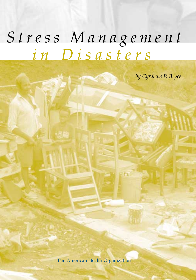## *in Disasters Stress Management*

*by Cyralene P. Bryce*

Pan American Health Organization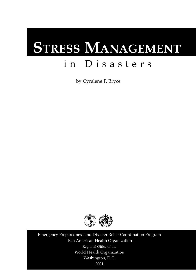# **STRESS MANAGEMENT**

## in Disasters

by Cyralene P. Bryce



Emergency Preparedness and Disaster Relief Coordination Program Pan American Health Organization Regional Office of the World Health Organization Washington, D.C. 2001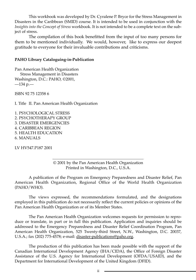This workbook was developed by Dr. Cyralene P. Bryce for the Stress Management in Disasters in the Caribbean (SMID) course. It is intended to be used in conjunction with the *Insights into the Concept of Stress* workbook. It is not intended to be a complete text on the subject of stress.

The compilation of this book benefitted from the input of too many persons for them to be mentioned individually. We would, however, like to express our deepest gratitude to everyone for their invaluable contributions and criticisms.

#### **PAHO Library Cataloguing-in-Publication**

Pan American Health Organization Stress Management in Disasters Washington, D.C.: PAHO, ©2001,  $-134$  p.

ISBN 92 75 12358 6

I. Title II. Pan American Health Organization

1. PSYCHOLOGICAL STRESS 2. PSYCHOTHERAPY GROUP 3. DISASTER EMERGENCIES 4. CARIBBEAN REGION 5. HEALTH EDUCATION 6. MANUALS

LV HV547.P187 2001

© 2001 by the Pan American Health Organization Printed in Washington, D.C., U.S.A.

A publication of the Program on Emergency Preparedness and Disaster Relief, Pan American Health Organization, Regional Office of the World Health Organization (PAHO/WHO).

The views expressed, the recommendations formulated, and the designations employed in this publication do not necessarily reflect the current policies or opinions of the Pan American Health Organization or of its Member States.

The Pan American Health Organization welcomes requests for permission to reproduce or translate, in part or in full this publication. Application and inquiries should be addressed to the Emergency Preparedness and Disaster Relief Coordination Program, Pan American Health Organization, 525 Twenty-third Street, N.W., Washington, D.C. 20037, U.S.A.; fax (202) 775-4578; e-mail: disaster-publications@paho.org.

The production of this publication has been made possible with the support of the Canadian International Development Agency (IHA/CIDA), the Office of Foreign Disaster Assistance of the U.S. Agency for International Development (OFDA/USAID), and the Department for International Development of the United Kingdom (DFID).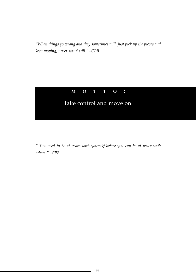*"When things go wrong and they sometimes will, just pick up the pieces and keep moving, never stand still." –CPB*

#### **MOTTO :**

## Take control and move on.

*" You need to be at peace with yourself before you can be at peace with others." –CPB*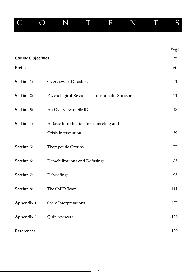|                          | $\left( \ \right)$ | N                                              | T | $\bf E$ | N | T | S            |
|--------------------------|--------------------|------------------------------------------------|---|---------|---|---|--------------|
|                          |                    |                                                |   |         |   |   |              |
|                          |                    |                                                |   |         |   |   | Page         |
| <b>Course Objectives</b> |                    |                                                |   |         |   |   | vi           |
| Preface                  |                    |                                                |   |         |   |   | vii          |
| Section 1:               |                    | Overview of Disasters                          |   |         |   |   | $\mathbf{1}$ |
| Section 2:               |                    | Psychological Responses to Traumatic Stressors |   |         |   |   | 21           |
| Section 3:               |                    | An Overview of SMID                            |   |         |   |   | 43           |
| Section 4:               |                    | A Basic Introduction to Counseling and         |   |         |   |   |              |
|                          |                    | Crisis Intervention                            |   |         |   |   | 59           |
| Section 5:               |                    | Therapeutic Groups                             |   |         |   |   | 77           |
| Section 6:               |                    | Demobilizations and Defusings                  |   |         |   |   | 85           |
| Section 7:               |                    | Debriefings                                    |   |         |   |   | 95           |
| Section 8:               |                    | The SMID Team                                  |   |         |   |   | 111          |
| Appendix 1:              |                    | Score Interpretations                          |   |         |   |   | 127          |
| Appendix 2:              |                    | Quiz Answers                                   |   |         |   |   | 128          |
| References               |                    |                                                |   |         |   |   | 129          |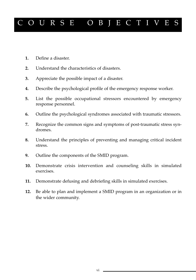## URSE OBJECTIVE

- **1.** Define a disaster.
- **2.** Understand the characteristics of disasters.
- **3.** Appreciate the possible impact of a disaster.
- **4.** Describe the psychological profile of the emergency response worker.
- **5.** List the possible occupational stressors encountered by emergency response personnel.
- **6.** Outline the psychological syndromes associated with traumatic stressors.
- **7.** Recognize the common signs and symptoms of post-traumatic stress syndromes.
- **8.** Understand the principles of preventing and managing critical incident stress.
- **9.** Outline the components of the SMID program.
- **10.** Demonstrate crisis intervention and counseling skills in simulated exercises.
- **11.** Demonstrate defusing and debriefing skills in simulated exercises.
- **12.** Be able to plan and implement a SMID program in an organization or in the wider community.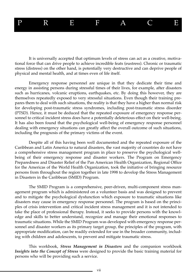## P R E F A C E

It is universally accepted that optimum levels of stress can act as a creative, motivational force that can drive people to achieve incredible feats (eustress). Chronic or traumatic stress (distress) on the other hand, is potentially very destructive and can deprive people of physical and mental health, and at times even of life itself.

Emergency response personnel are unique in that they dedicate their time and energy in assisting persons during stressful times of their lives, for example, after disasters such as hurricanes, volcanic eruptions, earthquakes, etc. By doing this however, they are themselves repeatedly exposed to very stressful situations. Even though their training prepares them to deal with such situations, the reality is that they have a higher than normal risk for developing post-traumatic stress syndromes, including post-traumatic stress disorder (PTSD). Hence, it must be deduced that the repeated exposure of emergency response personnel to critical incident stress does have a potentially deleterious effect on their well-being. It has also been found that the psychological well-being of emergency response personnel dealing with emergency situations can greatly affect the overall outcome of such situations, including the prognosis of the primary victims of the event.

Despite all of this having been well documented and the repeated exposure of the Caribbean and Latin America to natural disasters, the vast majority of countries do not have a comprehensive stress management program in place to preserve the psychological wellbeing of their emergency response and disaster workers. The Program on Emergency Preparedness and Disaster Relief of the Pan American Health Organization, Regional Office for the Americas of the World Health Organization, took the initiative of bringing resource persons from throughout the region together in late 1998 to develop the Stress Management in Disasters in the Caribbean (SMID) Program.

The SMID Program is a comprehensive, peer-driven, multi-component stress management program which is administered on a volunteer basis and was designed to prevent and to mitigate the psychological dysfunction which exposure to traumatic situations like disasters may cause in emergency response personnel. The program is based on the principles of crisis intervention and critical incident stress management and it is not intended to take the place of professional therapy. Instead, it seeks to provide persons with the knowledge and skills to better understand, recognize and manage their emotional responses to traumatic situations. While the SMID Program was developed with emergency response personnel and disaster workers as its primary target group, the principles of the program, with appropriate modification, can be readily extended for use in the broader community, including with children and adolescents, to prevent and mitigate traumatic stress.

This workbook, *Stress Management in Disasters* and the companion workbook *Insights into the Concept of Stress* were designed to provide the basic training material for persons who will be providing such a service.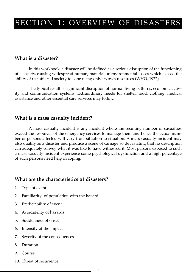## SECTION 1: OVERVIEW OF DISASTERS

#### **What is a disaster?**

In this workbook, a disaster will be defined as a serious disruption of the functioning of a society, causing widespread human, material or environmental losses which exceed the ability of the affected society to cope using only its own resources (WHO, 1972).

The typical result is significant disruption of normal living patterns, economic activity and communication systems. Extraordinary needs for shelter, food, clothing, medical assistance and other essential care services may follow.

#### **What is a mass casualty incident?**

A mass casualty incident is any incident where the resulting number of casualties exceed the resources of the emergency services to manage them and hence the actual number of persons affected will vary from situation to situation. A mass casualty incident may also qualify as a disaster and produce a scene of carnage so devastating that no description can adequately convey what it was like to have witnessed it. Most persons exposed to such a mass casualty incident experience some psychological dysfunction and a high percentage of such persons need help in coping.

#### **What are the characteristics of disasters?**

- 1. Type of event
- 2. Familiarity of population with the hazard
- 3. Predictability of event
- 4. Avoidability of hazards
- 5. Suddenness of onset
- 6. Intensity of the impact
- 7. Severity of the consequences
- 8. Duration
- 9. Course
- 10. Threat of recurrence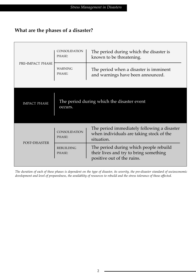#### **What are the phases of a disaster?**

|                     | <b>CONSOLIDATION</b><br>The period during which the disaster is<br>PHASE:<br>known to be threatening. |                                                                                                                |  |
|---------------------|-------------------------------------------------------------------------------------------------------|----------------------------------------------------------------------------------------------------------------|--|
| PRE-IMPACT PHASE    | <b>WARNING</b><br>PHASE:                                                                              | The period when a disaster is imminent<br>and warnings have been announced.                                    |  |
|                     |                                                                                                       |                                                                                                                |  |
| <b>IMPACT PHASE</b> | occurs.                                                                                               | The period during which the disaster event                                                                     |  |
| POST-DISASTER       | <b>CONSOLIDATION</b><br>PHASE:                                                                        | The period immediately following a disaster<br>when individuals are taking stock of the<br>situation.          |  |
|                     | <b>REBUILDING</b><br>PHASE:                                                                           | The period during which people rebuild<br>their lives and try to bring something<br>positive out of the ruins. |  |

*The duration of each of these phases is dependent on the type of disaster, its severity, the pre-disaster standard of socioeconomic development and level of preparedness, the availablity of resources to rebuild and the stress tolerance of those affected.*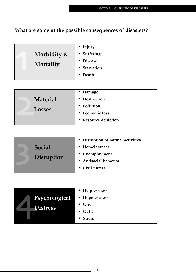## **What are some of the possible consequences of disasters?**

| Morbidity &<br>Mortality         | Injury<br>Suffering<br>$\bullet$<br><b>Disease</b><br>Starvation<br>Death                                                               |
|----------------------------------|-----------------------------------------------------------------------------------------------------------------------------------------|
| Material<br><b>Losses</b>        | Damage<br>٠<br>Destruction<br>Pollution<br><b>Economic loss</b><br><b>Resource depletion</b><br>$\bullet$                               |
| <b>Social</b><br>Disruption      | Disruption of normal activities<br>$\bullet$<br>Homelessness<br>Unemployment<br>$\bullet$<br><b>Antisocial behavior</b><br>Civil unrest |
| Psychological<br><b>Distress</b> | Helplessness<br>Hopelessness<br>Grief<br>Guilt<br><b>Stress</b>                                                                         |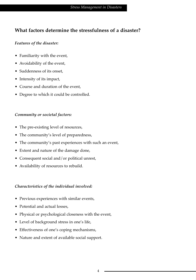#### **What factors determine the stressfulness of a disaster?**

#### *Features of the disaster:*

- Familiarity with the event,
- Avoidability of the event,
- Suddenness of its onset,
- Intensity of its impact,
- Course and duration of the event,
- Degree to which it could be controlled.

#### *Community or societal factors:*

- The pre-existing level of resources,
- The community's level of preparedness,
- The community's past experiences with such an event,
- Extent and nature of the damage done,
- Consequent social and/or political unrest,
- Availability of resources to rebuild.

#### *Characteristics of the individual involved:*

- Previous experiences with similar events,
- Potential and actual losses,
- Physical or psychological closeness with the event,
- Level of background stress in one's life,
- Effectiveness of one's coping mechanisms,
- Nature and extent of available social support.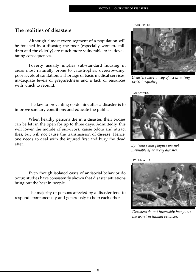#### **The realities of disasters**

Although almost every segment of a population will be touched by a disaster, the poor (especially women, children and the elderly) are much more vulnerable to its devastating consequences.

Poverty usually implies sub-standard housing in areas most naturally prone to catastrophes, overcrowding, poor levels of sanitation, a shortage of basic medical services, inadequate levels of preparedness and a lack of resources with which to rebuild.

The key to preventing epidemics after a disaster is to improve sanitary conditions and educate the public.

When healthy persons die in a disaster, their bodies can be left in the open for up to three days. Admittedly, this will lower the morale of survivors, cause odors and attract flies, but will not cause the transmission of disease. Hence, one needs to deal with the injured first and bury the dead after.

Even though isolated cases of antisocial behavior do occur, studies have consistently shown that disaster situations bring out the best in people.

The majority of persons affected by a disaster tend to respond spontaneously and generously to help each other.



*Disasters have a way of accentuating social inequality.*

PAHO/WHO



*Epidemics and plagues are not inevitable after every disaster.*

PAHO/WHO



*Disasters do not invariably bring out the worst in human behavior.*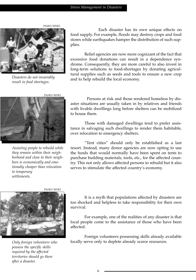PAHO/WHO



*Disasters do not invariably result in food shortages.*

PAHO/WHO



*Assisting people to rebuild while they remain within their neighborhood and close to their neighbors is economically and emotionally cheaper than relocation to temporary settlements.*

Each disaster has its own unique effects on food supply. For example, floods may destroy crops and food stores while earthquakes hamper the distribution of such supplies.

Relief agencies are now more cognizant of the fact that excessive food donations can result in a dependence syndrome. Consequently, they are more careful to also invest in long-term solutions to food-shortages by donating agricultural supplies such as seeds and tools to ensure a new crop and to help rebuild the local economy.

Persons at risk and those rendered homeless by disaster situations are usually taken in by relatives and friends with livable dwellings long before shelters can be mobilized to house them.

Those with damaged dwellings tend to prefer assistance in salvaging such dwellings to render them habitable, over relocation to emergency shelters.

"Tent cities" should only be established as a last resort. Instead, many donor agencies are now opting to use the funds that would normally have been spent on tents to purchase building materials, tools, etc., for the affected country. This not only allows affected persons to rebuild but it also serves to stimulate the affected country's economy.



*Only foreign volunteers who possess the specific skills required by the affected territories should go there after a disaster.*

It is a myth that populations affected by disasters are too shocked and helpless to take responsibility for their own survival.

For example, one of the realities of any disaster is that local people come to the assistance of those who have been affected.

Foreign volunteers possessing skills already available locally serve only to deplete already scarce resources.

6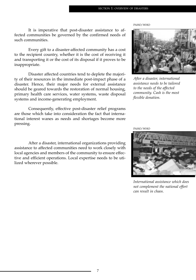It is imperative that post-disaster assistance to affected communities be governed by the confirmed needs of such communities.

Every gift to a disaster-affected community has a cost to the recipient country, whether it is the cost of receiving it and transporting it or the cost of its disposal if it proves to be inappropriate.

Disaster affected countries tend to deplete the majority of their resources in the immediate post-impact phase of a disaster. Hence, their major needs for external assistance should be geared towards the restoration of normal housing, primary health care services, water systems, waste disposal systems and income-generating employment.

Consequently, effective post-disaster relief programs are those which take into consideration the fact that international interest wanes as needs and shortages become more pressing.

After a disaster, international organizations providing assistance to affected communities need to work closely with local agencies and members of the community to ensure effective and efficient operations. Local expertise needs to be utilized wherever possible.



*After a disaster, international assistance needs to be tailored to the needs of the affected community. Cash is the most flexible donation.*

PAHO/WHO



*International assistance which does not complement the national effort can result in chaos.*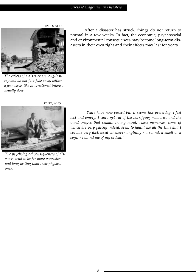

*The effects of a disaster are long-lasting and do not just fade away within a few weeks like international interest usually does.*



*The psychological consequences of disasters tend to be far more pervasive and long-lasting than their physical ones.*

After a disaster has struck, things do not return to normal in a few weeks. In fact, the economic, psychosocial and environmental consequences may become long-term disasters in their own right and their effects may last for years.

*"Years have now passed but it seems like yesterday. I feel lost and empty. I can't get rid of the horrifying memories and the vivid images that remain in my mind. These memories, some of which are very patchy indeed, seem to haunt me all the time and I become very distressed whenever anything - a sound, a smell or a sight - remind me of my ordeal."*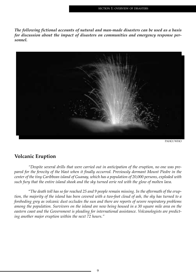*The following fictional accounts of natural and man-made disasters can be used as a basis for discussion about the impact of disasters on communities and emergency response personnel.* 



PAHO/WHO

#### **Volcanic Eruption**

*"Despite several drills that were carried out in anticipation of the eruption, no one was prepared for the ferocity of the blast when it finally occurred. Previously dormant Mount Piedre in the center of the tiny Caribbean island of Guanay, which has a population of 20,000 persons, exploded with such fury that the entire island shook and the sky turned eerie red with the glow of molten lava.*

"*The death toll has so far reached 25 and 9 people remain missing. In the aftermath of the eruption, the majority of the island has been covered with a two-foot cloud of ash, the sky has turned to a foreboding grey as volcanic dust occludes the sun and there are reports of severe respiratory problems among the population. Survivors on the island are now being housed in a 30 square mile area on the eastern coast and the Government is pleading for international assistance. Volcanologists are predicting another major eruption within the next 72 hours."*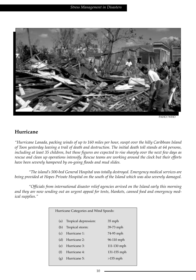

#### **Hurricane**

*"Hurricane Lanada, packing winds of up to 160 miles per hour, swept over the hilly Caribbean Island of Toon yesterday leaving a trail of death and destruction. The initial death toll stands at 64 persons, including at least 35 children, but these figures are expected to rise sharply over the next few days as rescue and clean up operations intensify. Rescue teams are working around the clock but their efforts have been severely hampered by on-going floods and mud slides.*

*"The island's 500-bed General Hospital was totally destroyed. Emergency medical services are being provided at Hopes Private Hospital on the south of the Island which was also severely damaged.*

*"Officials from international disaster relief agencies arrived on the Island early this morning and they are now sending out an urgent appeal for tents, blankets, canned food and emergency medical supplies."*

| Hurricane Categories and Wind Speeds: |                      |             |  |  |  |
|---------------------------------------|----------------------|-------------|--|--|--|
| (a)                                   | Tropical depression: | 35 mph      |  |  |  |
| (b)                                   | Tropical storm:      | 39-73 mph   |  |  |  |
| (c)                                   | Hurricane 1:         | 74-95 mph   |  |  |  |
| (d)                                   | Hurricane 2:         | 96-110 mph  |  |  |  |
| (e)                                   | Hurricane 3:         | 111-130 mph |  |  |  |
| (f)                                   | Hurricane 4:         | 131-155 mph |  |  |  |
| (g)                                   | Hurricane 5:         | $>155$ mph  |  |  |  |
|                                       |                      |             |  |  |  |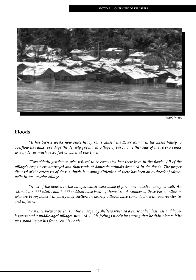

#### **Floods**

*"It has been 2 weeks now since heavy rains caused the River Mama in the Zesta Valley to overflow its banks. For days the densely populated village of Perva on either side of the river's banks was under as much as 20 feet of water at one time.*

*"Two elderly gentlemen who refused to be evacuated lost their lives in the floods. All of the village's crops were destroyed and thousands of domestic animals drowned in the floods. The proper disposal of the carcasses of these animals is proving difficult and there has been an outbreak of salmonella in two nearby villages.*

*"Most of the houses in the village, which were made of pine, were washed away as well. An estimated 8,000 adults and 6,000 children have been left homeless. A number of these Perva villagers who are being housed in emergency shelters in nearby villages have come down with gastroenteritis and influenza.*

*"An interview of persons in the emergency shelters revealed a sense of helplessness and hopelessness and a middle-aged villager summed up his feelings nicely by stating that he didn't know if he was standing on his feet or on his head!"*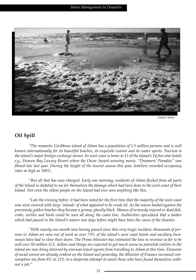

#### **Oil Spill**

*"The romantic Caribbean island of Ailam has a population of 1.5 million persons and is well known internationally for its beautiful beaches, its exquisite cuisine and its water sports. Tourism is the island's major foreign exchange earner. Its west coast is home to 12 of the Island's 14 five-star hotels e.g., Heaven Bay Luxury Resort where the Oscar Award winning movie, "Dreamers' Paradise" was filmed late last year. During the height of the tourist season this year, hoteliers recorded occupancy rates as high as 106%.*

*"But all that has now changed. Early one morning, residents of Ailam flocked from all parts of the Island in disbelief to see for themselves the damage which had been done to the west coast of their Island. Not even the oldest people on the Island had ever seen anything like this.*

*"Late the evening before, it had been noted for the first time that the majority of the west coast seas were covered with large 'islands' of what appeared to be crude oil. As the waves bashed against the previously golden beaches they became a greasy, ghostly black. Masses of seriously injured or dead fish, crabs, turtles and birds could be seen all along the coast line. Authorities speculated that a tanker which had passed in the Island's waters two days before might have been the cause of the disaster.*

*"With exactly one month now having passed since this very tragic incident, thousands of persons in Ailam are now out of work as over 75% of the island's west coast hotels and ancillary businesses have had to close their doors. The Prime Minister has estimated the loss in revenue so far to be well over 50 million U.S. dollars and things are expected to get much worse as potential visitors to the island are now being deterred by overseas travel agents from travelling to Ailam at this time. Elements of social unrest are already evident on the Island and yesterday, the Minister of Finance increased consumption tax from 8% to 12% in a desperate attempt to assist those who have found themselves without a job."*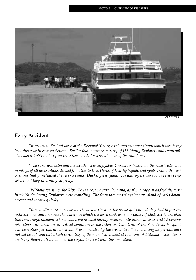

#### **Ferry Accident**

*"It was now the 2nd week of the Regional Young Explorers Summer Camp which was being held this year in eastern Seraino. Earlier that morning, a party of 138 Young Explorers and camp officials had set off in a ferry up the River Louda for a scenic tour of the rain forest.*

*"The river was calm and the weather was enjoyable. Crocodiles basked on the river's edge and monkeys of all descriptions dashed from tree to tree. Herds of healthy buffalo and goats grazed the lush pastures that punctuated the river's banks. Ducks, geese, flamingos and egrets were to be seen everywhere and they intermingled freely.*

*"Without warning, the River Louda became turbulent and, as if in a rage, it dashed the ferry in which the Young Explorers were travelling. The ferry was tossed against an island of rocks downstream and it sank quickly.*

*"Rescue divers responsible for the area arrived on the scene quickly but they had to proceed with extreme caution since the waters in which the ferry sank were crocodile infested. Six hours after this very tragic incident, 36 persons were rescued having received only minor injuries and 18 persons who almost drowned are in critical condition in the Intensive Care Unit of the San Viesta Hospital. Thirteen other persons drowned and 8 were mauled by the crocodiles. The remaining 59 persons have not yet been found but a high percentage of them are feared dead at this time. Additional rescue divers are being flown in from all over the region to assist with this operation."*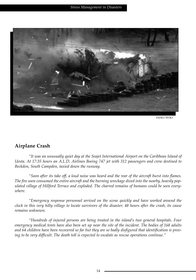

#### **Airplane Crash**

*"It was an unusually quiet day at the Seajet International Airport on the Caribbean Island of Uesta. At 17:35 hours an A.L.D. Airlines Boeing 747 jet with 312 passengers and crew destined to Beckdon, South Campden, taxied down the runway.* 

*"Soon after its take off, a loud noise was heard and the rear of the aircraft burst into flames. The fire soon consumed the entire aircraft and the burning wreckage dived into the nearby, heavily populated village of Hillford Terrace and exploded. The charred remains of humans could be seen everywhere.*

*"Emergency response personnel arrived on the scene quickly and have worked around the clock in this very hilly village to locate survivors of the disaster; 48 hours after the crash, its cause remains unknown.*

*"Hundreds of injured persons are being treated in the island's two general hospitals. Four emergency medical tents have also been set up near the site of the incident. The bodies of 168 adults and 64 children have been recovered so far but they are so badly disfigured that identification is proving to be very difficult. The death toll is expected to escalate as rescue operations continue."*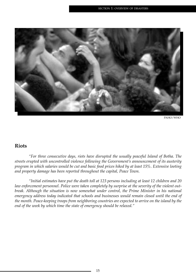

#### **Riots**

*"For three consecutive days, riots have disrupted the usually peaceful Island of Botha. The streets erupted with uncontrolled violence following the Government's announcement of its austerity program in which salaries would be cut and basic food prices hiked by at least 15%. Extensive looting and property damage has been reported throughout the capital, Peace Town.* 

*"Initial estimates have put the death toll at 123 persons including at least 12 children and 20 law enforcement personnel. Police were taken completely by surprise at the severity of the violent outbreak. Although the situation is now somewhat under control, the Prime Minister in his national emergency address today indicated that schools and businesses would remain closed until the end of the month. Peace-keeping troops from neighboring countries are expected to arrive on the island by the end of the week by which time the state of emergency should be relaxed."*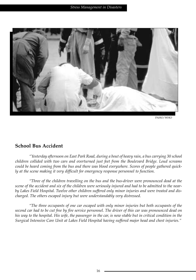

#### **School Bus Accident**

*"Yesterday afternoon on East Park Road, during a bout of heavy rain, a bus carrying 30 school children collided with two cars and overturned just feet from the Boulevard Bridge. Loud screams could be heard coming from the bus and there was blood everywhere. Scores of people gathered quickly at the scene making it very difficult for emergency response personnel to function.*

*"Three of the children travelling on the bus and the bus-driver were pronounced dead at the scene of the accident and six of the children were seriously injured and had to be admitted to the nearby Lakes Field Hospital. Twelve other children suffered only minor injuries and were treated and discharged. The others escaped injury but were understandably very distressed.*

*"The three occupants of one car escaped with only minor injuries but both occupants of the second car had to be cut free by fire service personnel. The driver of this car was pronounced dead on his way to the hospital. His wife, the passenger in the car, is now stable but in critical condition in the Surgical Intensive Care Unit at Lakes Field Hospital having suffered major head and chest injuries."*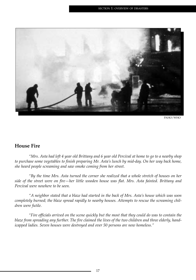

#### **House Fire**

*"Mrs. Asta had left 4 year old Brittany and 6 year old Percival at home to go to a nearby shop to purchase some vegetables to finish preparing Mr. Asta's lunch by mid-day. On her way back home, she heard people screaming and saw smoke coming from her street.*

*"By the time Mrs. Asta turned the corner she realized that a whole stretch of houses on her side of the street were on fire—her little wooden house was flat. Mrs. Asta fainted. Brittany and Percival were nowhere to be seen.*

*"A neighbor stated that a blaze had started in the back of Mrs. Asta's house which was soon completely burned; the blaze spread rapidly to nearby houses. Attempts to rescue the screaming children were futile.*

*"Fire officials arrived on the scene quickly but the most that they could do was to contain the blaze from spreading any further. The fire claimed the lives of the two children and three elderly, handicapped ladies. Seven houses were destroyed and over 50 persons are now homeless."*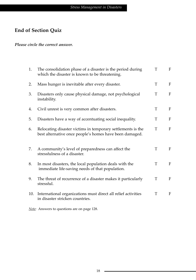### **End of Section Quiz**

*Please circle the correct answer.*

| 1.  | The consolidation phase of a disaster is the period during<br>which the disaster is known to be threatening.           | T | $\mathbf{F}$              |
|-----|------------------------------------------------------------------------------------------------------------------------|---|---------------------------|
| 2.  | Mass hunger is inevitable after every disaster.                                                                        | T | F                         |
| 3.  | Disasters only cause physical damage, not psychological<br>instability.                                                | T | F                         |
| 4.  | Civil unrest is very common after disasters.                                                                           | T | F                         |
| 5.  | Disasters have a way of accentuating social inequality.                                                                | T | F                         |
| 6.  | Relocating disaster victims in temporary settlements is the<br>best alternative once people's homes have been damaged. | T | F                         |
| 7.  | A community's level of preparedness can affect the<br>stressfulness of a disaster.                                     | T | F                         |
| 8.  | In most disasters, the local population deals with the<br>immediate life-saving needs of that population.              | T | F                         |
| 9.  | The threat of recurrence of a disaster makes it particularly<br>stressful.                                             | T | $\boldsymbol{\mathrm{F}}$ |
| 10. | International organizations must direct all relief activities<br>in disaster stricken countries.                       | T | F                         |

*Note:* Answers to questions are on page 128.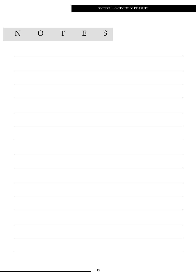|  |  | S | $\,$ E | $\ensuremath{\mathrm{T}}$ | $\overline{O}$ | ${\bf N}$ |
|--|--|---|--------|---------------------------|----------------|-----------|
|  |  |   |        |                           |                |           |
|  |  |   |        |                           |                |           |
|  |  |   |        |                           |                |           |
|  |  |   |        |                           |                |           |
|  |  |   |        |                           |                |           |
|  |  |   |        |                           |                |           |
|  |  |   |        |                           |                |           |
|  |  |   |        |                           |                |           |
|  |  |   |        |                           |                |           |
|  |  |   |        |                           |                |           |
|  |  |   |        |                           |                |           |
|  |  |   |        |                           |                |           |
|  |  |   |        |                           |                |           |
|  |  |   |        |                           |                |           |
|  |  |   |        |                           |                |           |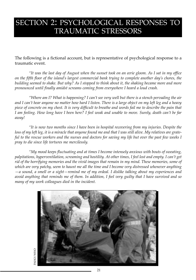## SECTION 2: PSYCHOLOGICAL RESPONSES TO TRAUMATIC STRESSORS

The following is a fictional account, but is representative of psychological response to a traumatic event.

*"It was the last day of August when the sunset took on an eerie gloom. As I sat in my office on the fifth floor of the island's largest commercial bank trying to complete another day's chores, the building seemed to shake. But why? As I stopped to think about it, the shaking became more and more pronounced until finally amidst screams coming from everywhere I heard a loud crash.*

*"Where am I? What is happening? I can't see very well but there is a stench pervading the air and I can't hear anyone no matter how hard I listen. There is a large object on my left leg and a heavy piece of concrete on my chest. It is very difficult to breathe and words fail me to describe the pain that I am feeling. How long have I been here? I feel weak and unable to move. Surely, death can't be far away!*

*"It is now two months since I have been in hospital recovering from my injuries. Despite the loss of my left leg, it is a miracle that anyone found me and that I was still alive. My relatives are grateful to the rescue workers and the nurses and doctors for saving my life but over the past few weeks I pray to die since life tortures me mercilessly.*

*"My mood keeps fluctuating and at times I become intensely anxious with bouts of sweating, palpitations, hyperventilation, screaming and hostility. At other times, I feel lost and empty. I can't get rid of the horrifying memories and the vivid images that remain in my mind. These memories, some of which are very patchy, seem to haunt me all the time and I become very distressed whenever anything —a sound, a smell or a sight—remind me of my ordeal. I dislike talking about my experiences and avoid anything that reminds me of them. In addition, I feel very guilty that I have survived and so many of my work colleagues died in the incident.*



**OHM/OHA** PAHO/WHO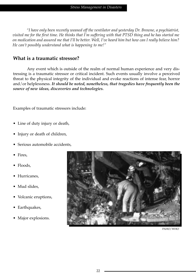*"I have only been recently weaned off the ventilator and yesterday Dr. Browne, a psychiatrist, visited me for the first time. He thinks that I'm suffering with that PTSD thing and he has started me on medication and assured me that I'll be better. Well, I've heard him but how can I really believe him? He can't possibly understand what is happening to me!"*

#### **What is a traumatic stressor?**

Any event which is outside of the realm of normal human experience and very distressing is a traumatic stressor or critical incident. Such events usually involve a perceived threat to the physical integrity of the individual and evoke reactions of intense fear, horror and/or helplessness. *It should be noted, nonetheless, that tragedies have frequently been the source of new ideas, discoveries and technologies.*

Examples of traumatic stressors include:

- Line of duty injury or death,
- Injury or death of children,
- Serious automobile accidents,
- Fires,
- Floods,
- Hurricanes,
- Mud slides.
- Volcanic eruptions,
- Earthquakes,
- Major explosions.



PAHO/WHO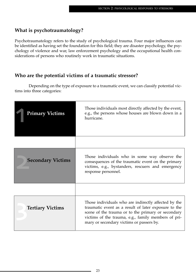#### **What is psychotraumatology?**

Psychotraumatology refers to the study of psychological trauma. Four major influences can be identified as having set the foundation for this field; they are disaster psychology, the psychology of violence and war, law enforcement psychology and the occupational health considerations of persons who routinely work in traumatic situations.

#### **Who are the potential victims of a traumatic stressor?**

Depending on the type of exposure to a traumatic event, we can classify potential victims into three categories:

| <b>Primary Victims</b>   | Those individuals most directly affected by the event,<br>e.g., the persons whose houses are blown down in a<br>hurricane.                                                                                                                                            |
|--------------------------|-----------------------------------------------------------------------------------------------------------------------------------------------------------------------------------------------------------------------------------------------------------------------|
|                          |                                                                                                                                                                                                                                                                       |
| <b>Secondary Victims</b> | Those individuals who in some way observe the<br>consequences of the traumatic event on the primary<br>victims, e.g., bystanders, rescuers and emergency<br>response personnel.                                                                                       |
|                          |                                                                                                                                                                                                                                                                       |
| <b>Tertiary Victims</b>  | Those individuals who are indirectly affected by the<br>traumatic event as a result of later exposure to the<br>scene of the trauma or to the primary or secondary<br>victims of the trauma, e.g., family members of pri-<br>mary or secondary victims or passers by. |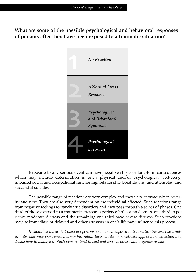**What are some of the possible psychological and behavioral responses of persons after they have been exposed to a traumatic situation?**



Exposure to any serious event can have negative short- or long-term consequences which may include deterioration in one's physical and/or psychological well-being, impaired social and occupational functioning, relationship breakdowns, and attempted and successful suicides.

The possible range of reactions are very complex and they vary enormously in severity and type. They are also very dependent on the individual affected. Such reactions range from negative feelings to psychiatric disorders and they pass through a series of phases. One third of those exposed to a traumatic stressor experience little or no distress, one third experience moderate distress and the remaining one third have severe distress. Such reactions may be immediate or delayed and other stressors in one's life may influence this process.

*It should be noted that there are persons who, when exposed to traumatic stressors like a natural disaster may experience distress but retain their ability to objectively appraise the situation and decide how to manage it. Such persons tend to lead and console others and organize rescues.*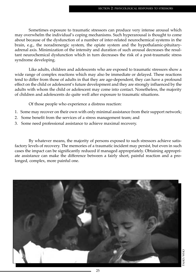Sometimes exposure to traumatic stressors can produce very intense arousal which may overwhelm the individual's coping mechanisms. Such hyperarousal is thought to come about because of the dysfunction of a number of inter-related neurochemical systems in the brain, e.g., the noradrenergic system, the opiate system and the hypothalamic-pituitaryadrenal axis. Minimization of the intensity and duration of such arousal decreases the resultant neurochemical dysfunction which in turn decreases the risk of a post-traumatic stress syndrome developing.

Like adults, children and adolescents who are exposed to traumatic stressors show a wide range of complex reactions which may also be immediate or delayed. These reactions tend to differ from those of adults in that they are age-dependent, they can have a profound effect on the child or adolescent's future development and they are strongly influenced by the adults with whom the child or adolescent may come into contact. Nonetheless, the majority of children and adolescents do quite well after exposure to traumatic situations.

Of those people who experience a distress reaction:

- 1. Some may recover on their own with only minimal assistance from their support network;
- 2. Some benefit from the services of a stress management team; and
- 3. Some need professional assistance to achieve maximal recovery.

By whatever means, the majority of persons exposed to such stressors achieve satisfactory levels of recovery. The memories of a traumatic incident may persist, but even in such cases the impact can be significantly reduced if managed appropriately. Obtaining appropriate assistance can make the difference between a fairly short, painful reaction and a prolonged, complex, more painful one.

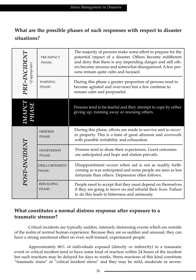#### **What are the possible phases of such responses with respect to disaster situations?**

| $\begin{array}{c} \mathbf{P}\mathbf{R}\mathbf{E}\textbf{-}I\mathbf{N}\mathbf{C}\mathbf{ID}\mathbf{E}\mathbf{N}\mathbf{T} \ \hspace{0.6cm} \scriptstyle (if appropriate) \end{array}$ | PRE-IMPACT<br>PHASE:             | The majority of persons make some effort to prepare for the<br>potential impact of a disaster. Others become indifferent<br>and deny that there is any impending danger and still oth-<br>ers become anxious and somewhat disorganized. A few per-<br>sons remain quite calm and focused. |
|--------------------------------------------------------------------------------------------------------------------------------------------------------------------------------------|----------------------------------|-------------------------------------------------------------------------------------------------------------------------------------------------------------------------------------------------------------------------------------------------------------------------------------------|
|                                                                                                                                                                                      | <b>WARNING</b><br>PHASE:         | During this phase a greater proportion of persons tend to<br>become agitated and over-react but a few continue to<br>remain calm and purposeful.                                                                                                                                          |
| 29                                                                                                                                                                                   |                                  | Persons tend to be fearful and they attempt to cope by either<br>giving up, running away or rescuing others.                                                                                                                                                                              |
|                                                                                                                                                                                      | <b>HEROISM</b><br>PHASE:         | During this phase, efforts are made to survive and to recov-<br>er property. This is a time of great altruism and overwork<br>with possible irritability and exhaustion.                                                                                                                  |
| POST-INCIDENT                                                                                                                                                                        | <b>HONEYMOON</b><br>PHASE:       | Persons tend to share their experiences. Good outcomes<br>are anticipated and hope and elation prevails.                                                                                                                                                                                  |
|                                                                                                                                                                                      | <b>DISILLUSIONMENT</b><br>PHASE: | Disappointment occurs when aid is not as readily forth-<br>coming as was anticipated and some people are seen as less<br>fortunate than others. Depression often follows.                                                                                                                 |
|                                                                                                                                                                                      | <b>REBUILDING</b><br>PHASE:      | People need to accept that they must depend on themselves<br>if they are going to move on and rebuild their lives. Failure<br>to do this leads to bitterness and animosity.                                                                                                               |

#### **What constitutes a normal distress response after exposure to a traumatic stressor?**

Critical incidents are typically sudden, intensely distressing events which are outside of the realm of normal human experience. Because they are so sudden and unusual, they can have a strong emotional effect on even well-trained, experienced people.

Approximately 86% of individuals exposed (directly or indirectly) to a traumatic event or critical incident tend to have some kind of reaction within 24 hours of the incident but such reactions may be delayed for days to weeks. Stress reactions of this kind constitute "traumatic stress" or "critical incident stress" and they may be mild, moderate or severe.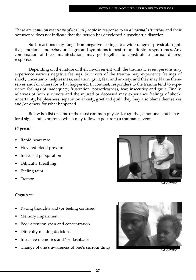These are *common reactions of normal people* in response to an *abnormal situation* and their occurrence does not indicate that the person has developed a psychiatric disorder.

Such reactions may range from negative feelings to a wide range of physical, cognitive, emotional and behavioral signs and symptoms to post-traumatic stress syndromes. Any combination of these manifestations may go together to constitute a normal distress response.

Depending on the nature of their involvement with the traumatic event persons may experience various negative feelings. Survivors of the trauma may experience feelings of shock, uncertainty, helplessness, isolation, guilt, fear and anxiety, and they may blame themselves and/or others for what happened. In contrast, responders to the trauma tend to experience feelings of inadequacy, frustration, powerlessness, fear, insecurity and guilt. Finally, relatives of both survivors and the injured or deceased may experience feelings of shock, uncertainty, helplessness, separation anxiety, grief and guilt; they may also blame themselves and/or others for what happened.

Below is a list of some of the most common physical, cognitive, emotional and behavioral signs and symptoms which may follow exposure to a traumatic event.

#### *Physical:*

- Rapid heart rate
- Elevated blood pressure
- Increased perspiration
- Difficulty breathing
- Feeling faint
- Tremor

#### *Cognitive:*

- Racing thoughts and/or feeling confused
- Memory impairment
- Poor attention span and concentration
- Difficulty making decisions
- Intrusive memories and/or flashbacks
- Change of one's awareness of one's surroundings PAHO/WHO



PAHO/WHC

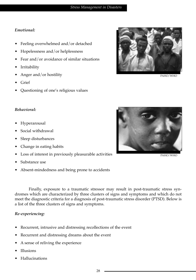#### *Emotional:*

- Feeling overwhelmed and/or detached
- Hopelessness and/or helplessness
- Fear and/or avoidance of similar situations
- **Irritability**
- Anger and/or hostility
- Grief
- Questioning of one's religious values

#### *Behavioral:*

- Hyperarousal
- Social withdrawal
- Sleep disturbances
- Change in eating habits
- Loss of interest in previously pleasurable activities
- Substance use
- Absent-mindedness and being prone to accidents

Finally, exposure to a traumatic stressor may result in post-traumatic stress syndromes which are characterized by three clusters of signs and symptoms and which do not meet the diagnostic criteria for a diagnosis of post-traumatic stress disorder (PTSD). Below is a list of the three clusters of signs and symptoms.

#### *Re-experiencing:*

- Recurrent, intrusive and distressing recollections of the event
- Recurrent and distressing dreams about the event
- A sense of reliving the experience
- Illusions
- Hallucinations

PAHO/WHO



PAHO/WHO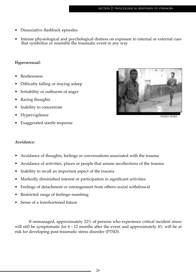- Dissociative flashback episodes
- Intense physiological and psychological distress on exposure to internal or external cues that symbolize or resemble the traumatic event in any way

#### *Hyperarousal:*

- Restlessness
- Difficulty falling or staying asleep
- Irritability or outbursts of anger
- Racing thoughts
- Inability to concentrate
- Hypervigilence
- Exaggerated startle response



PAHO/WHO

#### *Avoidance:*

- Avoidance of thoughts, feelings or conversations associated with the trauma
- Avoidance of activities, places or people that arouse recollections of the trauma
- Inability to recall an important aspect of the trauma
- Markedly diminished interest or participation in significant activities
- Feelings of detachment or estrangement from others–social withdrawal
- Restricted range of feelings–numbing
- Sense of a foreshortened future

If unmanaged, approximately 22% of persons who experience critical incident stress will still be symptomatic for 6 - 12 months after the event and approximately 4% will be at risk for developing post-traumatic stress disorder (PTSD).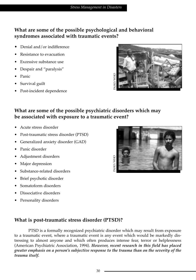#### **What are some of the possible psychological and behavioral syndromes associated with traumatic events?**

- Denial and/or indifference
- Resistance to evacuation
- Excessive substance use
- Despair and "paralysis"
- Panic
- Survival guilt
- Post-incident dependence



#### **What are some of the possible psychiatric disorders which may be associated with exposure to a traumatic event?**

- Acute stress disorder
- Post-traumatic stress disorder (PTSD)
- Generalized anxiety disorder (GAD)
- Panic disorder
- Adjustment disorders
- Major depression
- Substance-related disorders
- Brief psychotic disorder
- Somatoform disorders
- Dissociative disorders
- Personality disorders



#### **What is post-traumatic stress disorder (PTSD)?**

PTSD is a formally recognized psychiatric disorder which may result from exposure to a traumatic event, where a traumatic event is any event which would be markedly distressing to almost anyone and which often produces intense fear, terror or helplessness (American Psychiatric Association, 1994). *However, recent research in this field has placed greater emphasis on a person's subjective response to the trauma than on the severity of the trauma itself.*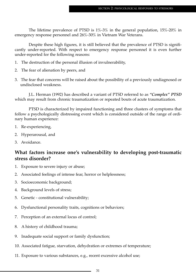The lifetime prevalence of PTSD is  $1\%$ -3% in the general population,  $15\%$ -20% in emergency response personnel and 26%-30% in Vietnam War Veterans.

Despite these high figures, it is still believed that the prevalence of PTSD is significantly under-reported. With respect to emergency response personnel it is even further under-reported for the following reasons:

- 1. The destruction of the personal illusion of invulnerability,
- 2. The fear of alienation by peers, and
- 3. The fear that concerns will be raised about the possibility of a previously undiagnosed or undisclosed weakness.

J.L. Herman (1992) has described a variant of PTSD referred to as *"Complex" PTSD* which may result from chronic traumatization or repeated bouts of acute traumatization.

PTSD is characterized by impaired functioning and three clusters of symptoms that follow a psychologically distressing event which is considered outside of the range of ordinary human experience:

- 1. Re-experiencing,
- 2. Hyperarousal, and
- 3. Avoidance.

## **What factors increase one's vulnerability to developing post-traumatic stress disorder?**

- 1. Exposure to severe injury or abuse;
- 2. Associated feelings of intense fear, horror or helplessness;
- 3. Socioeconomic background;
- 4. Background levels of stress;
- 5. Genetic constitutional vulnerability;
- 6. Dysfunctional personality traits, cognitions or behaviors;
- 7. Perception of an external locus of control;
- 8. A history of childhood trauma;
- 9. Inadequate social support or family dysfunction;
- 10. Associated fatigue, starvation, dehydration or extremes of temperature;
- 11. Exposure to various substances, e.g., recent excessive alcohol use;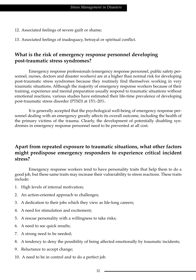- 12. Associated feelings of severe guilt or shame;
- 13. Associated feelings of inadequacy, betrayal or spiritual conflict.

## **What is the risk of emergency response personnel developing post-traumatic stress syndromes?**

Emergency response professionals (emergency response personnel, public safety personnel, nurses, doctors and disaster workers) are at a higher than normal risk for developing post-traumatic stress syndromes because they routinely find themselves working in very traumatic situations. Although the majority of emergency response workers because of their training, experience and mental preparation usually respond to traumatic situations without emotional reactions, various studies have estimated their life-time prevalence of developing post-traumatic stress disorder (PTSD) at 15%-20%.

It is generally accepted that the psychological well-being of emergency response personnel dealing with an emergency greatly affects its overall outcome, including the health of the primary victims of the trauma. Clearly, the development of potentially disabling syndromes in emergency response personnel need to be prevented at all cost.

## **Apart from repeated exposure to traumatic situations, what other factors might predispose emergency responders to experience critical incident stress?**

Emergency response workers tend to have personality traits that help them to do a good job, but these same traits may increase their vulnerability to stress reactions. These traits include:

- 1. High levels of internal motivation;
- 2. An action-oriented approach to challenges;
- 3. A dedication to their jobs which they view as life-long careers;
- 4. A need for stimulation and excitement;
- 5. A rescue personality with a willingness to take risks;
- 6. A need to see quick results;
- 7. A strong need to be needed;
- 8. A tendency to deny the possibility of being affected emotionally by traumatic incidents;
- 9. Reluctance to accept change;
- 10. A need to be in control and to do a perfect job.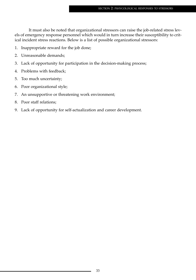It must also be noted that organizational stressors can raise the job-related stress levels of emergency response personnel which would in turn increase their susceptibility to critical incident stress reactions. Below is a list of possible organizational stressors:

- 1. Inappropriate reward for the job done;
- 2. Unreasonable demands;
- 3. Lack of opportunity for participation in the decision-making process;
- 4. Problems with feedback;
- 5. Too much uncertainty;
- 6. Poor organizational style;
- 7. An unsupportive or threatening work environment;
- 8. Poor staff relations;
- 9. Lack of opportunity for self-actualization and career development.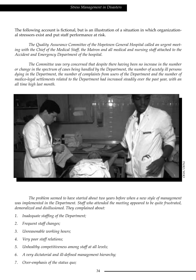The following account is fictional, but is an illustration of a situation in which organizational stressors exist and put staff performance at risk.

*The Quality Assurance Committee of the Hopetown General Hospital called an urgent meeting with the Chief of the Medical Staff, the Matron and all medical and nursing staff attached to the Accident and Emergency Department of the hospital.*

*The Committee was very concerned that despite there having been no increase in the number or change in the spectrum of cases being handled by the Department, the number of acutely ill persons dying in the Department, the number of complaints from users of the Department and the number of medico-legal settlements related to the Department had increased steadily over the past year, with an all time high last month.*



*The problem seemed to have started about two years before when a new style of management was implemented in the Department. Staff who attended the meeting appeared to be quite frustrated, demoralized and disillusioned. They complained about:*

- *1. Inadequate staffing of the Department;*
- *2. Frequent staff changes;*
- *3. Unreasonable working hours;*
- *4. Very poor staff relations;*
- *5. Unhealthy competitiveness among staff at all levels;*
- *6. A very dictatorial and ill-defined management hierarchy;*
- *7. Over-emphasis of the status quo;*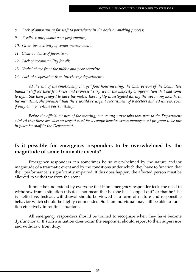- *8. Lack of opportunity for staff to participate in the decision-making process;*
- *9. Feedback only about poor performance;*
- *10. Gross insensitivity of senior management;*
- *11. Clear evidence of favoritism;*
- *12. Lack of accountability for all;*
- *13. Verbal abuse from the public and poor security;*
- *14. Lack of cooperation from interfacing departments.*

*At the end of the emotionally charged four hour meeting, the Chairperson of the Committee thanked staff for their frankness and expressed surprise at the majority of information that had come to light. She then pledged to have the matter thoroughly investigated during the upcoming month. In the meantime, she promised that there would be urgent recruitment of 8 doctors and 20 nurses, even if only on a part-time basis initially.*

*Before the official closure of the meeting, one young nurse who was new to the Department advised that there was also an urgent need for a comprehensive stress management program to be put in place for staff in the Department.*

## **Is it possible for emergency responders to be overwhelmed by the magnitude of some traumatic events?**

Emergency responders can sometimes be so overwhelmed by the nature and/or magnitude of a traumatic event and by the conditions under which they have to function that their performance is significantly impaired. If this does happen, the affected person must be allowed to withdraw from the scene.

It must be understood by everyone that if an emergency responder feels the need to withdraw from a situation this does not mean that he/she has "copped out" or that he/she is ineffective. Instead, withdrawal should be viewed as a form of mature and responsible behavior which should be highly commended. Such an individual may still be able to function effectively in routine situations.

All emergency responders should be trained to recognize when they have become dysfunctional. If such a situation does occur the responder should report to their supervisor and withdraw from duty.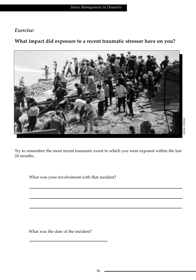## *Exercise:*

## **What impact did exposure to a recent traumatic stressor have on you?**



Try to remember the most recent traumatic event to which you were exposed within the last 24 months.

What was your involvement with that incident?

What was the date of the incident?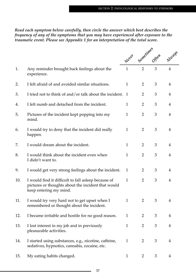*Read each symptom below carefully, then circle the answer which best describes the frequency of any of the symptoms that you may have experienced after exposure to the traumatic event. Please see Appendix 1 for an interpretation of the total score.*

|     |                                                                                                                                     | Never        |                | Sometimes | Always                  |
|-----|-------------------------------------------------------------------------------------------------------------------------------------|--------------|----------------|-----------|-------------------------|
| 1.  | Any reminder brought back feelings about the<br>experience.                                                                         | $\mathbf{1}$ |                |           | $\overline{4}$          |
| 2.  | I felt afraid of and avoided similar situations.                                                                                    | $\mathbf{1}$ | 2              | 3         | 4                       |
| 3.  | I tried not to think of and/or talk about the incident. 1                                                                           |              | $\overline{2}$ | 3         | 4                       |
| 4.  | I felt numb and detached from the incident.                                                                                         | $\mathbf{1}$ | $\overline{2}$ | 3         | 4                       |
| 5.  | Pictures of the incident kept popping into my<br>mind.                                                                              | $\mathbf{1}$ | $\overline{2}$ | 3         | 4                       |
| 6.  | I would try to deny that the incident did really<br>happen.                                                                         | $\mathbf{1}$ | 2              | 3         | 4                       |
| 7.  | I would dream about the incident.                                                                                                   | $\mathbf{1}$ | 2              | 3         | 4                       |
| 8.  | I would think about the incident even when<br>I didn't want to.                                                                     | $\mathbf{1}$ | $\overline{2}$ | 3         | 4                       |
| 9.  | I would get very strong feelings about the incident.                                                                                | $\mathbf{1}$ | 2              | 3         | $\overline{4}$          |
| 10. | I would find it difficult to fall asleep because of<br>pictures or thoughts about the incident that would<br>keep entering my mind. | $\mathbf{1}$ | $\overline{2}$ | 3         | 4                       |
| 11. | I would try very hard not to get upset when I<br>remembered or thought about the incident.                                          | $\mathbf{1}$ | 2              | 3         | 4                       |
| 12. | I became irritable and hostile for no good reason.                                                                                  | 1            | $\overline{2}$ | 3         | 4                       |
| 13. | I lost interest in my job and in previously<br>pleasurable activities.                                                              | 1            | $\overline{2}$ | 3         | $\overline{4}$          |
| 14. | I started using substances, e.g., nicotine, caffeine,<br>sedatives, hypnotics, cannabis, cocaine, etc.                              | $\mathbf{1}$ | $\overline{2}$ | 3         | $\overline{4}$          |
| 15. | My eating habits changed.                                                                                                           | $\mathbf{1}$ | $\overline{2}$ | 3         | $\overline{\mathbf{4}}$ |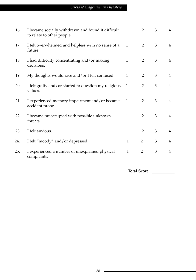## *Stress Management in Disasters*

| 16. | I became socially withdrawn and found it difficult<br>to relate to other people. | $\mathbf{1}$ | 2              | 3 | 4              |
|-----|----------------------------------------------------------------------------------|--------------|----------------|---|----------------|
| 17. | I felt overwhelmed and helpless with no sense of a<br>future.                    | $\mathbf{1}$ | 2              | 3 | 4              |
| 18. | I had difficulty concentrating and/or making<br>decisions.                       | $\mathbf{1}$ | 2              | 3 | 4              |
| 19. | My thoughts would race and/or I felt confused.                                   | $\mathbf{1}$ | 2              | 3 | 4              |
| 20. | I felt guilty and/or started to question my religious<br>values.                 | $\mathbf{1}$ | $\overline{2}$ | 3 | $\overline{4}$ |
| 21. | I experienced memory impairment and/or became<br>accident prone.                 | 1            | 2              | 3 | 4              |
| 22. | I became preoccupied with possible unknown<br>threats.                           | $\mathbf{1}$ | 2              | 3 | $\overline{4}$ |
| 23. | I felt anxious.                                                                  | $\mathbf{1}$ | 2              | 3 | $\overline{4}$ |
| 24. | I felt "moody" and/or depressed.                                                 | $\mathbf{1}$ | $\overline{2}$ | 3 | $\overline{4}$ |
| 25. | I experienced a number of unexplained physical<br>complaints.                    | $\mathbf{1}$ | $\overline{2}$ | 3 | $\overline{4}$ |

**Total Score:**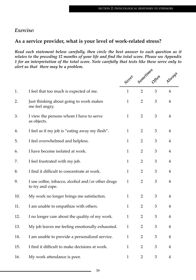## *Exercise:*

## **As a service provider, what is your level of work-related stress?**

*Read each statement below carefully, then circle the best answer to each question as it relates to the preceding 12 months of your life and find the total score. Please see Appendix 1 for an interpretation of the total score. Note carefully that tests like these serve only to alert us that there may be a problem.*

|     |                                                                       | Never        |                | Sometimes Offen | Always         |
|-----|-----------------------------------------------------------------------|--------------|----------------|-----------------|----------------|
| 1.  | I feel that too much is expected of me.                               | $\mathbf{1}$ | $\overline{2}$ | 3               | $\overline{4}$ |
| 2.  | Just thinking about going to work makes<br>me feel angry.             | $\mathbf{1}$ | $\overline{2}$ | 3               | $\overline{4}$ |
| 3.  | I view the persons whom I have to serve<br>as objects.                | $\mathbf{1}$ | $\overline{2}$ | 3               | $\overline{4}$ |
| 4.  | I feel as if my job is "eating away my flesh".                        | $\mathbf{1}$ | $\overline{2}$ | 3               | $\overline{4}$ |
| 5.  | I feel overwhelmed and helpless.                                      | $\mathbf{1}$ | $\overline{2}$ | 3               | $\overline{4}$ |
| 6.  | I have become isolated at work.                                       | $\mathbf{1}$ | $\overline{2}$ | 3               | $\overline{4}$ |
| 7.  | I feel frustrated with my job.                                        | $\mathbf{1}$ | $\overline{2}$ | 3               | $\overline{4}$ |
| 8.  | I find it difficult to concentrate at work.                           | $\mathbf{1}$ | $\overline{2}$ | 3               | $\overline{4}$ |
| 9.  | I use coffee, tobacco, alcohol and/or other drugs<br>to try and cope. | $\mathbf{1}$ | $\overline{2}$ | 3               | $\overline{4}$ |
| 10. | My work no longer brings me satisfaction.                             | $\mathbf{1}$ | $\overline{2}$ | 3               | $\overline{4}$ |
| 11. | I am unable to empathize with others.                                 | $\mathbf{1}$ | $\overline{2}$ | 3               | $\overline{4}$ |
| 12. | I no longer care about the quality of my work.                        | $\mathbf{1}$ | $\overline{2}$ | 3               | $\overline{4}$ |
| 13. | My job leaves me feeling emotionally exhausted.                       | $\mathbf{1}$ | $\overline{2}$ | 3               | 4              |
| 14. | I am unable to provide a personalized service.                        | $\mathbf{1}$ | $\overline{2}$ | 3               | 4              |
| 15. | I find it difficult to make decisions at work.                        | $\mathbf{1}$ | $\overline{2}$ | 3               | 4              |
| 16. | My work attendance is poor.                                           | $\mathbf{1}$ | $\overline{2}$ | 3               | 4              |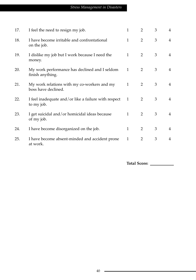| 17. | I feel the need to resign my job.                                  | 1            | $\overline{2}$ | 3 | 4              |
|-----|--------------------------------------------------------------------|--------------|----------------|---|----------------|
| 18. | I have become irritable and confrontational<br>on the job.         | $\mathbf{1}$ | $\overline{2}$ | 3 | $\overline{4}$ |
| 19. | I dislike my job but I work because I need the<br>money.           | $\mathbf{1}$ | 2              | 3 | 4              |
| 20. | My work performance has declined and I seldom<br>finish anything.  | $\mathbf{1}$ | $\overline{2}$ | 3 | 4              |
| 21. | My work relations with my co-workers and my<br>boss have declined. | $\mathbf{1}$ | 2              | 3 | 4              |
| 22. | I feel inadequate and/or like a failure with respect<br>to my job. | 1            | 2              | 3 | 4              |
| 23. | I get suicidal and/or homicidal ideas because<br>of my job.        | 1            | $\overline{2}$ | 3 | 4              |
| 24. | I have become disorganized on the job.                             | $\mathbf{1}$ | $\overline{2}$ | 3 | 4              |
| 25. | I have become absent-minded and accident prone<br>at work.         | 1            | $\overline{2}$ | 3 | 4              |

**Total Score:**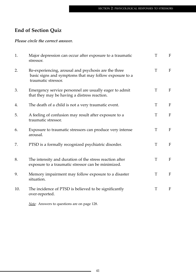## **End of Section Quiz**

#### *Please circle the correct answer.*

| 1.  | Major depression can occur after exposure to a traumatic<br>stressor.                                                                 | T | F            |
|-----|---------------------------------------------------------------------------------------------------------------------------------------|---|--------------|
| 2.  | Re-experiencing, arousal and psychosis are the three<br>basic signs and symptoms that may follow exposure to a<br>traumatic stressor. | T | $\mathbf{F}$ |
| 3.  | Emergency service personnel are usually eager to admit<br>that they may be having a distress reaction.                                | T | $\mathbf{F}$ |
| 4.  | The death of a child is not a very traumatic event.                                                                                   | T | F            |
| 5.  | A feeling of confusion may result after exposure to a<br>traumatic stressor.                                                          | T | $\mathbf{F}$ |
| 6.  | Exposure to traumatic stressors can produce very intense<br>arousal.                                                                  | T | $\mathbf{F}$ |
| 7.  | PTSD is a formally recognized psychiatric disorder.                                                                                   | T | F            |
| 8.  | The intensity and duration of the stress reaction after<br>exposure to a traumatic stressor can be minimized.                         | T | $F_{\rm}$    |
| 9.  | Memory impairment may follow exposure to a disaster<br>situation.                                                                     | T | $\mathbf{F}$ |
| 10. | The incidence of PTSD is believed to be significantly<br>over-reported.                                                               | T | $\mathbf F$  |

*Note:* Answers to questions are on page 128.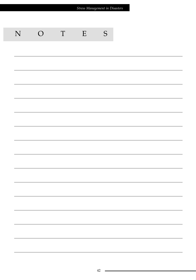| Stress Management in Disasters |                                                                                                                        |             |   |               |  |  |  |
|--------------------------------|------------------------------------------------------------------------------------------------------------------------|-------------|---|---------------|--|--|--|
|                                |                                                                                                                        |             |   |               |  |  |  |
|                                |                                                                                                                        |             |   |               |  |  |  |
| N                              | $\overline{O}$                                                                                                         | $\mathbf T$ | E | ${\mathsf S}$ |  |  |  |
|                                |                                                                                                                        |             |   |               |  |  |  |
|                                |                                                                                                                        |             |   |               |  |  |  |
|                                |                                                                                                                        |             |   |               |  |  |  |
|                                |                                                                                                                        |             |   |               |  |  |  |
|                                |                                                                                                                        |             |   |               |  |  |  |
|                                |                                                                                                                        |             |   |               |  |  |  |
|                                |                                                                                                                        |             |   |               |  |  |  |
|                                |                                                                                                                        |             |   |               |  |  |  |
|                                |                                                                                                                        |             |   |               |  |  |  |
|                                |                                                                                                                        |             |   |               |  |  |  |
|                                |                                                                                                                        |             |   |               |  |  |  |
|                                |                                                                                                                        |             |   |               |  |  |  |
|                                |                                                                                                                        |             |   |               |  |  |  |
|                                | <u> 1989 - Johann Stoff, amerikansk politiker (d. 1989)</u>                                                            |             |   |               |  |  |  |
|                                | <u> 1989 - Johann Stoff, fransk politik (d. 1989)</u>                                                                  |             |   |               |  |  |  |
|                                | <u> 1989 - Johann Stoff, fransk politik (d. 1989)</u>                                                                  |             |   |               |  |  |  |
|                                | <u> 1989 - Johann Stoff, amerikansk politiker (d. 1989)</u>                                                            |             |   |               |  |  |  |
|                                | <u> 1989 - Johann Stoff, deutscher Stoffen und der Stoffen und der Stoffen und der Stoffen und der Stoffen und der</u> |             |   |               |  |  |  |
|                                |                                                                                                                        |             |   |               |  |  |  |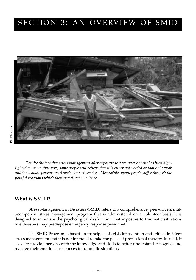## SECTION 3: AN OVERVIEW OF SMID



*Despite the fact that stress management after exposure to a traumatic event has been highlighted for some time now, some people still believe that it is either not needed or that only weak and inadequate persons need such support services. Meanwhile, many people suffer through the painful reactions which they experience in silence.*

### **What is SMID?**

Stress Management in Disasters (SMID) refers to a comprehensive, peer-driven, multicomponent stress management program that is administered on a volunteer basis. It is designed to minimize the psychological dysfunction that exposure to traumatic situations like disasters may predispose emergency response personnel.

The SMID Program is based on principles of crisis intervention and critical incident stress management and it is not intended to take the place of professional therapy. Instead, it seeks to provide persons with the knowledge and skills to better understand, recognize and manage their emotional responses to traumatic situations.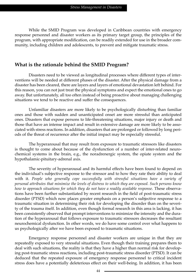While the SMID Program was developed in Caribbean countries with emergency response personnel and disaster workers as its primary target group, the principles of the program, with appropriate modification, can be readily extended for use in the broader community, including children and adolescents, to prevent and mitigate traumatic stress.

#### **What is the rationale behind the SMID Program?**

Disasters need to be viewed as longitudinal processes where different types of interventions will be needed at different phases of the disaster. After the physical damage from a disaster has been cleared, there are layers and layers of emotional devastation left behind. For this reason, you can not just treat the physical symptoms and expect the emotional ones to go away. But unfortunately, all too often instead of being proactive about managing challenging situations we tend to be reactive and suffer the consequences.

Unfamiliar disasters are more likely to be psychologically disturbing than familiar ones and those with sudden and unanticipated onset are more stressful than anticipated ones. Disasters that expose persons to life-threatening situations, major injury or death and those that have an intense impact and result in extensive damage are more likely to be associated with stress reactions. In addition, disasters that are prolonged or followed by long periods of the threat of recurrence after the initial impact may be especially stressful.

The hyperarousal that may result from exposure to traumatic stressors like disasters is thought to come about because of the dysfunction of a number of inter-related neurochemical systems in the brain, e.g., the noradrenergic system, the opiate system and the hypothalamic-pituitary-adrenal axis.

The severity of hyperarousal and its harmful effects have been found to depend on the individual's subjective response to the stressor and to how they rate their ability to deal with it. *People who generally cope successfully with stressful situations have a variety of personal attributes that minimize the levels of distress to which they are exposed. Such persons know how to approach situations for which they do not have a readily available response.* These observations have been further substantiated by recent research in the field of post-traumatic stress disorder (PTSD) which now places greater emphasis on a person's subjective response to a traumatic situation in determining their risk for developing the disorder than on the severity of the trauma itself. In addition, even though formal research in this area is lacking, it has been consistently observed that prompt interventions to minimize the intensity and the duration of the hyperarousal that follows exposure to traumatic stressors decreases the resultant neurochemical dysfunction. In other words, we do have some control over what happens to us psychologically after we have been exposed to traumatic situations.

Emergency response personnel and disaster workers are unique in that they are repeatedly exposed to very stressful situations. Even though their training prepares them to deal with such situations, the reality is that they have a higher than normal risk for developing post-traumatic stress reactions, including post-traumatic stress disorder (PTSD). It can be deduced that the repeated exposure of emergency response personnel to critical incident stress does have a potentially deleterious effect on their well-being. In addition, it has been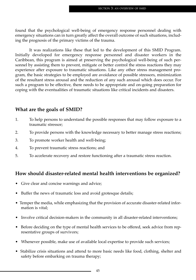found that the psychological well-being of emergency response personnel dealing with emergency situations can in turn greatly affect the overall outcome of such situations, including the prognosis of the primary victims of the trauma.

It was realizations like these that led to the development of this SMID Program. Initially developed for emergency response personnel and disaster workers in the Caribbean, this program is aimed at preserving the psychological well-being of such personnel by assisting them to prevent, mitigate or better control the stress reactions they may experience after exposure to traumatic situations. Like any other stress management program, the basic strategies to be employed are avoidance of possible stressors, minimization of the resultant stress arousal and the reduction of any such arousal which does occur. For such a program to be effective, there needs to be appropriate and on-going preparation for coping with the eventualities of traumatic situations like critical incidents and disasters.

## **What are the goals of SMID?**

- 1. To help persons to understand the possible responses that may follow exposure to a traumatic stressor;
- 2. To provide persons with the knowledge necessary to better manage stress reactions;
- 3. To promote worker health and well-being;
- 4. To prevent traumatic stress reactions; and
- 5. To accelerate recovery and restore functioning after a traumatic stress reaction.

## **How should disaster-related mental health interventions be organized?**

- Give clear and concise warnings and advice;
- Buffer the news of traumatic loss and avoid grotesque details;
- Temper the media, while emphasizing that the provision of accurate disaster-related information is vital;
- Involve critical decision-makers in the community in all disaster-related interventions;
- Before deciding on the type of mental health services to be offered, seek advice from representative groups of survivors;
- Whenever possible, make use of available local expertise to provide such services;
- Stabilize crisis situations and attend to more basic needs like food, clothing, shelter and safety before embarking on trauma therapy;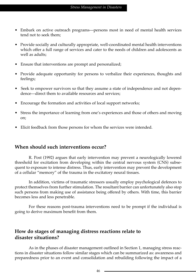- Embark on active outreach programs—persons most in need of mental health services tend not to seek them;
- Provide socially and culturally appropriate, well-coordinated mental health interventions which offer a full range of services and cater to the needs of children and adolescents as well as adults;
- Ensure that interventions are prompt and personalized;
- Provide adequate opportunity for persons to verbalize their experiences, thoughts and feelings;
- Seek to empower survivors so that they assume a state of independence and not dependence—direct them to available resources and services;
- Encourage the formation and activities of local support networks;
- Stress the importance of learning from one's experiences and those of others and moving on;
- Elicit feedback from those persons for whom the services were intended.

## **When should such interventions occur?**

R. Post (1992) argues that early intervention may prevent a neurologically lowered threshold for excitation from developing within the central nervous system (CNS) subsequent to exposure to intense distress. Thus, early intervention may prevent the development of a cellular "memory" of the trauma in the excitatory neural tissues.

In addition, victims of traumatic stressors usually employ psychological defences to protect themselves from further stimulation. The resultant barrier can unfortunately also stop such persons from making use of assistance being offered by others. With time, this barrier becomes less and less penetrable.

For these reasons post-trauma interventions need to be prompt if the individual is going to derive maximum benefit from them.

## **How do stages of managing distress reactions relate to disaster situations?**

As in the phases of disaster management outlined in Section 1, managing stress reactions in disaster situations follow similar stages which can be summarized as: awareness and preparedness prior to an event and consolidation and rebuilding following the impact of a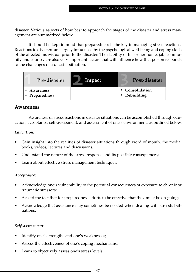disaster. Various aspects of how best to approach the stages of the disaster and stress management are summarized below.

It should be kept in mind that preparedness is the key to managing stress reactions. Reactions to disasters are largely influenced by the psychological well-being and coping skills of the affected individual prior to the disaster. The stability of his or her home, job, community and country are also very important factors that will influence how that person responds to the challenges of a disaster situation.



#### **Awareness**

Awareness of stress reactions in disaster situations can be accomplished through education, acceptance, self-assessment, and assessment of one's environment, as outlined below.

#### *Education:*

- Gain insight into the realities of disaster situations through word of mouth, the media, books, videos, lectures and discussions;
- Understand the nature of the stress response and its possible consequences;
- Learn about effective stress management techniques.

#### *Acceptance:*

- Acknowledge one's vulnerability to the potential consequences of exposure to chronic or traumatic stressors;
- Accept the fact that for preparedness efforts to be effective that they must be on-going;
- Acknowledge that assistance may sometimes be needed when dealing with stressful situations.

#### *Self-assessment:*

- Identify one's strengths and one's weaknesses;
- Assess the effectiveness of one's coping mechanisms;
- Learn to objectively assess one's stress levels.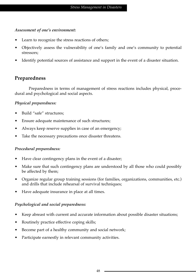#### *Assessment of one's environment:*

- Learn to recognize the stress reactions of others;
- Objectively assess the vulnerability of one's family and one's community to potential stressors;
- Identify potential sources of assistance and support in the event of a disaster situation.

## **Preparedness**

Preparedness in terms of management of stress reactions includes physical, procedural and psychological and social aspects.

#### *Physical preparedness:*

- Build "safe" structures;
- Ensure adequate maintenance of such structures;
- Always keep reserve supplies in case of an emergency;
- Take the necessary precautions once disaster threatens.

#### *Procedural preparedness:*

- Have clear contingency plans in the event of a disaster;
- Make sure that such contingency plans are understood by all those who could possibly be affected by them;
- Organize regular group training sessions (for families, organizations, communities, etc.) and drills that include rehearsal of survival techniques;
- Have adequate insurance in place at all times.

#### *Psychological and social preparedness:*

- Keep abreast with current and accurate information about possible disaster situations;
- Routinely practice effective coping skills;
- Become part of a healthy community and social network;
- Participate earnestly in relevant community activities.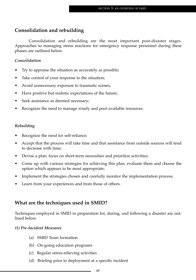### **Consolidation and rebuilding**

Consolidation and rebuilding are the most important post-disaster stages. Approaches to managing stress reactions for emergency response personnel during these phases are outlined below.

#### *Consolidation*

- Try to appraise the situation as accurately as possible;
- Take control of your response to the situation;
- Avoid unnecessary exposure to traumatic scenes;
- Have positive but realistic expectations of the future;
- Seek assistance as deemed necessary;
- Recognize the need to manage wisely and pool available resources.

#### *Rebuilding*

- Recognize the need for self-reliance;
- Accept that the process will take time and that assistance from outside sources will tend to decrease with time;
- Devise a plan, focus on short-term necessities and prioritize activities;
- Come up with various strategies for achieving this plan, evaluate them and choose the option which appears to be most appropriate;
- Implement the strategies chosen and carefully monitor the implementation process;
- Learn from your experiences and from those of others.

## **What are the techniques used in SMID?**

Techniques employed in SMID in preparation for, during, and following a disaster are outlined below.

#### *(1) Pre-Incident Measures*

- (a) SMID Team formation
- (b) On-going education programs
- (c) Regular stress-relieving activities
- (d) Briefing prior to deployment at a specific incident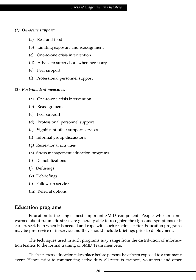#### *(2) On-scene support:*

- (a) Rest and food
- (b) Limiting exposure and reassignment
- (c) One-to-one crisis intervention
- (d) Advice to supervisors when necessary
- (e) Peer support
- (f) Professional personnel support

#### *(3) Post-incident measures:*

- (a) One-to-one crisis intervention
- (b) Reassignment
- (c) Peer support
- (d) Professional personnel support
- (e) Significant-other support services
- (f) Informal group discussions
- (g) Recreational activities
- (h) Stress management education programs
- (i) Demobilizations
- (j) Defusings
- (k) Debriefings
- (l) Follow-up services
- (m) Referral options

#### **Education programs**

Education is the single most important SMID component. People who are forewarned about traumatic stress are generally able to recognize the signs and symptoms of it earlier, seek help when it is needed and cope with such reactions better. Education programs may be pre-service or in-service and they should include briefings prior to deployment.

The techniques used in such programs may range from the distribution of information leaflets to the formal training of SMID Team members.

The best stress education takes place before persons have been exposed to a traumatic event. Hence, prior to commencing active duty, all recruits, trainees, volunteers and other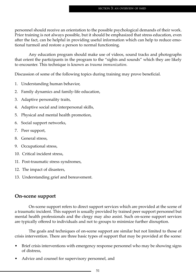personnel should receive an orientation to the possible psychological demands of their work. Prior training is not always possible, but it should be emphasized that stress education, even after the fact, can be helpful in providing useful information which can help to reduce emotional turmoil and restore a person to normal functioning.

Any education program should make use of videos, sound tracks and photographs that orient the participants in the program to the "sights and sounds" which they are likely to encounter. This technique is known as *trauma immunization.* 

Discussion of some of the following topics during training may prove beneficial.

- 1. Understanding human behavior,
- 2. Family dynamics and family-life education,
- 3. Adaptive personality traits,
- 4. Adaptive social and interpersonal skills,
- 5. Physical and mental health promotion,
- 6. Social support networks,
- 7. Peer support,
- 8. General stress,
- 9. Occupational stress,
- 10. Critical incident stress,
- 11. Post-traumatic stress syndromes,
- 12. The impact of disasters,
- 13. Understanding grief and bereavement.

## **On-scene support**

On-scene support refers to direct support services which are provided at the scene of a traumatic incident. This support is usually provided by trained peer support personnel but mental health professionals and the clergy may also assist. Such on-scene support services are typically offered to individuals and not to groups to minimize further disruption.

The goals and techniques of on-scene support are similar but not limited to those of crisis intervention. There are three basic types of support that may be provided at the scene:

- Brief crisis interventions with emergency response personnel who may be showing signs of distress,
- Advice and counsel for supervisory personnel, and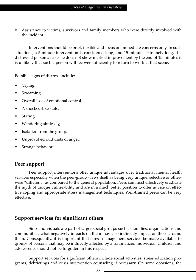• Assistance to victims, survivors and family members who were directly involved with the incident.

Interventions should be brief, flexible and focus on immediate concerns only. In such situations, a 5-minute intervention is considered long, and 15 minutes extremely long. If a distressed person at a scene does not show marked improvement by the end of 15 minutes it is unlikely that such a person will recover sufficiently to return to work at that scene.

Possible signs of distress include:

- Crying,
- Screaming,
- Overall loss of emotional control,
- A shocked-like state,
- Staring,
- Wandering aimlessly,
- Isolation from the group,
- Unprovoked outbursts of anger,
- Strange behavior.

#### **Peer support**

Peer support interventions offer unique advantages over traditional mental health services especially when the peer-group views itself as being very unique, selective or otherwise "different" as compared to the general population. Peers can most effectively eradicate the myth of unique vulnerability and are in a much better position to offer advice on effective coping and appropriate stress management techniques. Well-trained peers can be very effective.

#### **Support services for significant others**

Since individuals are part of larger social groups such as families, organizations and communities, what negatively impacts on them may also indirectly impact on those around them. Consequently, it is important that stress management services be made available to groups of persons that may be indirectly affected by a traumatized individual. Children and adolescents should not be forgotten in this respect.

Support services for significant others include social activities, stress education programs, debriefings and crisis intervention counseling if necessary. On some occasions, the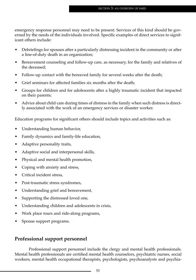emergency response personnel may need to be present. Services of this kind should be governed by the needs of the individuals involved. Specific examples of direct services to significant others include:

- Debriefings for spouses after a particularly distressing incident in the community or after a line-of-duty death in an organization;
- Bereavement counseling and follow-up care, as necessary, for the family and relatives of the deceased;
- Follow-up contact with the bereaved family for several weeks after the death;
- Grief seminars for affected families six months after the death;
- Groups for children and for adolescents after a highly traumatic incident that impacted on their parents;
- Advice about child care during times of distress in the family when such distress is directly associated with the work of an emergency services or disaster worker.

Education programs for significant others should include topics and activities such as:

- Understanding human behavior,
- Family dynamics and family-life education,
- Adaptive personality traits,
- Adaptive social and interpersonal skills,
- Physical and mental health promotion,
- Coping with anxiety and stress,
- Critical incident stress,
- Post-traumatic stress syndromes,
- Understanding grief and bereavement,
- Supporting the distressed loved one,
- Understanding children and adolescents in crisis,
- Work place tours and ride-along programs,
- Spouse support programs.

## **Professional support personnel**

Professional support personnel include the clergy and mental health professionals. Mental health professionals are certified mental health counselors, psychiatric nurses, social workers, mental health occupational therapists, psychologists, psychoanalysts and psychia-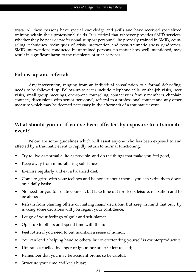trists. All these persons have special knowledge and skills and have received specialized training within their professional fields. It is critical that whoever provides SMID services, whether they be peer or professional support personnel, be properly trained in SMID, counseling techniques, techniques of crisis intervention and post-traumatic stress syndromes. SMID interventions conducted by untrained persons, no matter how well intentioned, may result in significant harm to the recipients of such services.

## **Follow-up and referrals**

Any intervention, ranging from an individual consultation to a formal debriefing, needs to be followed up. Follow-up services include telephone calls, on-the-job visits, peer visits, small group meetings, one-to-one counseling, contact with family members, chaplain contacts, discussions with senior personnel, referral to a professional contact and any other measure which may be deemed necessary in the aftermath of a traumatic event.

## **What should you do if you've been affected by exposure to a traumatic event?**

Below are some guidelines which will assist anyone who has been exposed to and affected by a traumatic event to rapidly return to normal functioning.

- Try to live as normal a life as possible, and do the things that make you feel good;
- Keep away from mind-altering substances;
- Exercise regularly and eat a balanced diet;
- Come to grips with your feelings and be honest about them—you can write them down on a daily basis;
- No need for you to isolate yourself, but take time out for sleep, leisure, relaxation and to be alone;
- Refrain from blaming others or making major decisions, but keep in mind that only by making some decisions will you regain your confidence;
- Let go of your feelings of guilt and self-blame;
- Open up to others and spend time with them;
- Feel rotten if you need to but maintain a sense of humor;
- You can lend a helping hand to others, but overextending yourself is counterproductive;
- Utterances fuelled by anger or ignorance are best left unsaid;
- Remember that you may be accident prone, so be careful;
- Structure your time and keep busy;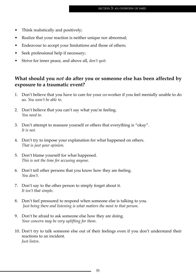- Think realistically and positively;
- Realize that your reaction is neither unique nor abnormal;
- Endeavour to accept your limitations and those of others;
- Seek professional help if necessary;
- Strive for inner peace, and above all, *don't quit.*

## **What should you** *not* **do after you or someone else has been affected by exposure to a traumatic event?**

- 1. Don't believe that you have to care for your co-worker if you feel mentally unable to do so. *You won't be able to*.
- 2. Don't believe that you can't say what you're feeling. *You need to*.
- 3. Don't attempt to reassure yourself or others that everything is "okay". *It is not*.
- 4. Don't try to impose your explanation for what happened on others. *That is just your opinion*.
- 5. Don't blame yourself for what happened. *This is not the time for accusing anyone.*
- 6. Don't tell other persons that you know how they are feeling. *You don't.*
- 7. Don't say to the other person to simply forget about it. *It isn't that simple*.
- 8. Don't feel pressured to respond when someone else is talking to you. *Just being there and listening is what matters the most to that person.*
- 9. Don't be afraid to ask someone else how they are doing. *Your concern may be very uplifting for them*.
- 10. Don't try to talk someone else out of their feelings even if you don't understand their reactions to an incident. *Just listen*.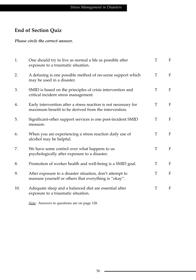## **End of Section Quiz**

#### *Please circle the correct answer.*

| 1.  | One should try to live as normal a life as possible after<br>exposure to a traumatic situation.                         | T | F            |
|-----|-------------------------------------------------------------------------------------------------------------------------|---|--------------|
| 2.  | A defusing is one possible method of on-scene support which<br>may be used in a disaster.                               | T | F            |
| 3.  | SMID is based on the principles of crisis intervention and<br>critical incident stress management.                      | T | F            |
| 4.  | Early intervention after a stress reaction is not necessary for<br>maximum benefit to be derived from the intervention. | T | F            |
| 5.  | Significant-other support services is one post-incident SMID<br>measure.                                                | T | F            |
| 6.  | When you are experiencing a stress reaction daily use of<br>alcohol may be helpful.                                     | T | $\mathbf F$  |
| 7.  | We have some control over what happens to us<br>psychologically after exposure to a disaster.                           | T | $\mathbf{F}$ |
| 8.  | Promotion of worker health and well-being is a SMID goal.                                                               | T | F            |
| 9.  | After exposure to a disaster situation, don't attempt to<br>reassure yourself or others that everything is "okay".      | T | F            |
| 10. | Adequate sleep and a balanced diet are essential after<br>exposure to a traumatic situation.                            | T | F            |

*Note:* Answers to questions are on page 128.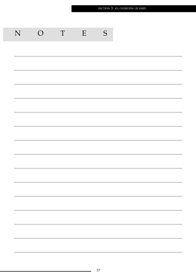| ${\bf N}$ | $\bigcirc$ | $\ensuremath{\mathrm{T}}$ | E | S |
|-----------|------------|---------------------------|---|---|
|           |            |                           |   |   |
|           |            |                           |   |   |
|           |            |                           |   |   |
|           |            |                           |   |   |
|           |            |                           |   |   |
|           |            |                           |   |   |
|           |            |                           |   |   |
|           |            |                           |   |   |
|           |            |                           |   |   |
|           |            |                           |   |   |
|           |            |                           |   |   |
|           |            |                           |   |   |
|           |            |                           |   |   |
|           |            |                           |   |   |
|           |            |                           |   |   |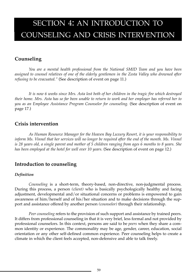# SECTION 4: AN INTRODUCTION TO COUNSELING AND CRISIS INTERVENTION

## **Counseling**

*You are a mental health professional from the National SMID Team and you have been assigned to counsel relatives of one of the elderly gentlemen in the Zesta Valley who drowned after refusing to be evacuated."* (See description of event on page 11.)

*It is now 6 weeks since Mrs. Asta lost both of her children in the tragic fire which destroyed their home. Mrs. Asta has so far been unable to return to work and her employer has referred her to you as an Employee Assistance Program Counselor for counseling.* (See description of event on page 17.)

## **Crisis intervention**

*As Human Resource Manager for the Heaven Bay Luxury Resort, it is your responsibility to inform Ms. Vinnel that her services will no longer be required after the end of the month. Ms. Vinnel is 28 years old, a single parent and mother of 5 children ranging from ages 6 months to 8 years. She has been employed at the hotel for well over 10 years.* (See description of event on page 12.)

#### **Introduction to counseling**

#### *Definition*

*Counseling* is a short-term, theory-based, non-directive, non-judgmental process. During this process, a person *(client)* who is basically psychologically healthy and facing adjustment, developmental and/or situational concerns or problems is empowered to gain awareness of him/herself and of his/her situation and to make decisions through the support and assistance offered by another person *(counselor)* through their relationship.

*Peer counseling* refers to the provision of such support and assistance by trained peers. It differs from professional counseling in that it is very brief, less formal and not provided by professional counselors. In this context, persons are said to be *peers* when they share a common identity or experience. The commonality may be age, gender, career, education, social orientation or any other self-defined common experience. Peer counseling helps to create a climate in which the client feels accepted, non-defensive and able to talk freely.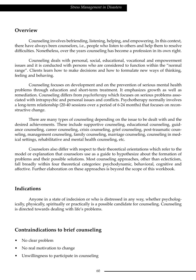## **Overview**

Counseling involves befriending, listening, helping, and empowering. In this context, there have always been counselors, i.e., people who listen to others and help them to resolve difficulties. Nonetheless, over the years counseling has become a profession in its own right.

Counseling deals with personal, social, educational, vocational and empowerment issues and it is conducted with persons who are considered to function within the "normal range". Clients learn how to make decisions and how to formulate new ways of thinking, feeling and behaving.

Counseling focuses on development and on the prevention of serious mental health problems through education and short-term treatment. It emphasizes growth as well as remediation. Counseling differs from *psychotherapy* which focuses on serious problems associated with intrapsychic and personal issues and conflicts. Psychotherapy normally involves a long-term relationship (20-40 sessions over a period of 6-24 months) that focuses on reconstructive change.

There are many types of counseling depending on the issue to be dealt with and the desired achievements. These include supportive counseling, educational counseling, guidance counseling, career counseling, crisis counseling, grief counseling, post-traumatic counseling, management counseling, family counseling, marriage counseling, counseling in medical settings, rehabilitative and mental health counseling, etc.

Counselors also differ with respect to their theoretical orientations which refer to the model or explanation that counselors use as a guide to hypothesize about the formation of problems and their possible solutions. Most counseling approaches, other than eclecticism, fall broadly within four theoretical categories: psychodynamic, behavioral, cognitive and affective. Further elaboration on these approaches is beyond the scope of this workbook.

#### **Indications**

Anyone in a state of indecision or who is distressed in any way, whether psychologically, physically, spiritually or practically is a possible candidate for counseling. Counseling is directed towards dealing with life's problems.

## **Contraindications to brief counseling**

- No clear problem
- No real motivation to change
- Unwillingness to participate in counseling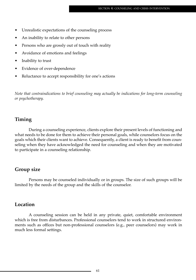- Unrealistic expectations of the counseling process
- An inability to relate to other persons
- Persons who are grossly out of touch with reality
- Avoidance of emotions and feelings
- Inability to trust
- Evidence of over-dependence
- Reluctance to accept responsibility for one's actions

*Note that contraindications to brief counseling may actually be indications for long-term counseling or psychotherapy.*

#### **Timing**

During a counseling experience, clients explore their present levels of functioning and what needs to be done for them to achieve their personal goals, while counselors focus on the goals which their clients want to achieve. Consequently, a client is ready to benefit from counseling when they have acknowledged the need for counseling and when they are motivated to participate in a counseling relationship.

#### **Group size**

Persons may be counseled individually or in groups. The size of such groups will be limited by the needs of the group and the skills of the counselor.

#### **Location**

A counseling session can be held in any private, quiet, comfortable environment which is free from disturbances. Professional counselors tend to work in structured environments such as offices but non-professional counselors (e.g., peer counselors) may work in much less formal settings.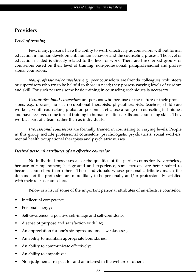## **Providers**

#### *Level of training*

Few, if any, persons have the ability to work effectively as counselors without formal education in human development, human behavior and the counseling process. The level of education needed is directly related to the level of work. There are three broad groups of counselors based on their level of training: non-professional, paraprofessional and professional counselors.

*Non-professional counselors*, e.g., peer counselors, are friends, colleagues, volunteers or supervisors who try to be helpful to those in need; they possess varying levels of wisdom and skill. For such persons some basic training in counseling techniques is necessary.

*Paraprofessional counselors* are persons who because of the nature of their professions, e.g., doctors, nurses, occupational therapists, physiotherapists, teachers, child care workers, youth counselors, probation personnel, etc., use a range of counseling techniques and have received some formal training in human-relations skills and counseling skills. They work as part of a team rather than as individuals.

*Professional counselors* are formally trained in counseling to varying levels. People in this group include professional counselors, psychologists, psychiatrists, social workers, mental health occupational therapists and psychiatric nurses.

#### *Desired personal attributes of an effective counselor*

No individual possesses all of the qualities of the perfect counselor. Nevertheless, because of temperament, background and experience, some persons are better suited to become counselors than others. Those individuals whose personal attributes match the demands of the profession are more likely to be personally and/or professionally satisfied with their role as counselors.

Below is a list of some of the important personal attributes of an effective counselor:

- Intellectual competence;
- Personal energy;
- Self-awareness, a positive self-image and self-confidence;
- A sense of purpose and satisfaction with life;
- An appreciation for one's strengths and one's weaknesses;
- An ability to maintain appropriate boundaries;
- An ability to communicate effectively;
- An ability to empathize;
- Non-judgmental respect for and an interest in the welfare of others;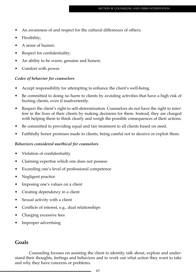- An awareness of and respect for the cultural differences of others;
- Flexibility;
- A sense of humor;
- Respect for confidentiality;
- An ability to be warm, genuine and honest;
- Comfort with power.

#### *Codes of behavior for counselors*

- Accept responsibility for attempting to enhance the client's well-being.
- Be committed to doing no harm to clients by avoiding activities that have a high risk of hurting clients, even if inadvertently.
- Respect the client's right to self-determination. Counselors do not have the right to interfere in the lives of their clients by making decisions for them. Instead, they are charged with helping them to think clearly and weigh the possible consequences of their actions.
- Be committed to providing equal and fair treatment to all clients based on need.
- Faithfully honor promises made to clients, being careful not to deceive or exploit them.

#### *Behaviors considered unethical for counselors*

- Violation of confidentiality
- Claiming expertise which one does not possess
- Exceeding one's level of professional competence
- Negligent practice
- Imposing one's values on a client
- Creating dependency in a client
- Sexual activity with a client
- Conflicts of interest, e.g., dual relationships
- Charging excessive fees
- Improper advertising

## **Goals**

Counseling focuses on assisting the client to identify, talk about, explore and understand their thoughts, feelings and behaviors and to work out what action they want to take and why they have concerns or problems.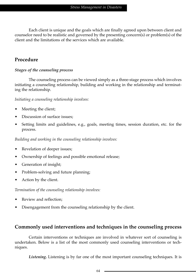Each client is unique and the goals which are finally agreed upon between client and counselor need to be realistic and governed by the presenting concern(s) or problem(s) of the client and the limitations of the services which are available.

## **Procedure**

#### *Stages of the counseling process*

The counseling process can be viewed simply as a three-stage process which involves initiating a counseling relationship, building and working in the relationship and terminating the relationship.

*Initiating a counseling relationship involves:*

- Meeting the client;
- Discussion of surface issues;
- Setting limits and guidelines, e.g., goals, meeting times, session duration, etc. for the process.

*Building and working in the counseling relationship involves:*

- Revelation of deeper issues;
- Ownership of feelings and possible emotional release;
- Generation of insight;
- Problem-solving and future planning;
- Action by the client.

*Termination of the counseling relationship involves:*

- Review and reflection;
- Disengagement from the counseling relationship by the client.

## **Commonly used interventions and techniques in the counseling process**

Certain interventions or techniques are involved in whatever sort of counseling is undertaken. Below is a list of the most commonly used counseling interventions or techniques.

*Listening***.** Listening is by far one of the most important counseling techniques. It is

64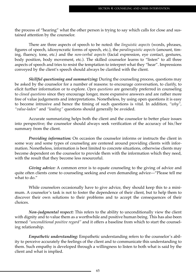the process of "hearing" what the other person is trying to say which calls for close and sustained attention by the counselor.

There are three aspects of speech to be noted: the *linguistic aspects* (words, phrases, figures of speech, idiosyncratic forms of speech, etc.), the *paralinguistic aspects* (amount, timing, fluency, tone, etc.) and the *non-verbal aspects* (facial expression, eye contact, gestures, body position, body movement, etc.). The skilled counselor learns to "listen" to all three aspects of speech and tries to resist the temptation to interpret what they "hear". Impressions conveyed by the client's speech should always be clarified with the client.

*Skillful questioning and summarizing:* During the counseling process, questions may be asked by the counselor for a number of reasons: to encourage conversation, to clarify, to elicit further information or to explore. *Open questions* are generally preferred in counseling to *closed questions* since they encourage longer, more expansive answers and are rather more free of value judgements and interpretations. Nonetheless, by using open questions it is easy to become intrusive and hence the timing of such questions is vital. In addition, *"why"*, *"value-laden"* and *"leading"* questions should generally be avoided.

Accurate summarizing helps both the client and the counselor to better place issues into perspective; the counselor should always seek verification of the accuracy of his/her summary from the client.

*Providing information:* On occasion the counselor informs or instructs the client in some way and some types of counseling are centered around providing clients with information. Nonetheless, information is best limited to concrete situations, otherwise clients may become dependent on the counselor to provide them with the information which they need, with the result that they become less resourceful.

*Giving advice:* A common error is to equate counseling to the giving of advice and quite often clients come to counseling seeking and even demanding advice—"Please tell me what to do."

While counselors occasionally have to give advice, they should keep this to a minimum. A counselor's task is not to foster the dependence of their client, but to help them to discover their own solutions to their problems and to accept the consequences of their choices.

*Non-judgmental respect:* This refers to the ability to unconditionally view the client with dignity and to value them as a worthwhile and positive human being. This has also been termed *"unconditional positive regard"* and it offers a baseline from which to start the counseling relationship.

*Empathetic understanding:* Empathetic understanding refers to the counselor's ability to perceive accurately the feelings of the client and to communicate this understanding to them. Such empathy is developed through a willingness to listen to both what is said by the client and what is implied.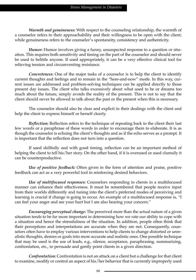*Warmth and genuineness:* With respect to the counseling relationship, the warmth of a counselor refers to their approachability and their willingness to be open with the client; while genuineness refers to the counselor's spontaneity, consistency and authenticity.

*Humor:* Humor involves giving a funny, unsuspected response to a question or situation. This requires both sensitivity and timing on the part of the counselor and should never be used to belittle anyone. If used appropriately, it can be a very effective clinical tool for relieving tension and circumventing resistance.

*Concreteness:* One of the major tasks of a counselor is to help the client to identify current thoughts and feelings and to remain in the "here-and-now" mode. In this way, current issues are addressed and problem-solving techniques can be applied directly to those present day issues. The client who talks excessively about what used to be or dreams too much about the future, simply avoids the reality of the present. This is not to say that the client should never be allowed to talk about the past or the present when this is necessary.

The counselor should also be clear and explicit in their dealings with the client and help the client to express himself or herself clearly.

*Reflection:* Reflection refers to the technique of repeating back to the client their last few words or a paraphrase of these words in order to encourage them to elaborate. It is as though the counselor is echoing the client's thoughts and as if the echo serves as a prompt. It is important that the reflection does not turn into a question.

If used skillfully and with good timing, reflection can be an important method of helping the client to tell his/her story. On the other hand, if it is overused or used clumsily it can be counterproductive.

*Use of positive feedback:* Often given in the form of attention and praise, positive feedback can act as a very powerful tool in reinforcing desired behaviors.

*Use of multifocused responses:* Counselors responding to clients in a multifocused manner can enhance their effectiveness. It must be remembered that people receive input from their worlds differently and tuning into the client's preferred modes of perceiving and learning is crucial if change is going to occur. An example of a multifocused response is, "I can feel your anger and see your hurt but I am also hearing your concern."

*Encouraging perceptual change:* The perceived more than the actual nature of a given situation tends to be far more important in determining how we rate our ability to cope with a situation and hence the stressfulness of the situation. In addition, people often think that their perceptions and interpretations are accurate when they are not. Consequently, counselors often have to employ various interventions to help clients to change distorted or unrealistic thoughts, desires or goals into more accurate and realistic ones. One possible technique that may be used is the use of leads, e.g., silence, acceptance, paraphrasing, summarizing, confrontation, etc., to persuade and gently point clients in a given direction.

*Confrontation:* Confrontation is not an attack on a client but a challenge for that client to examine, modify or control an aspect of his/her behavior that is currently improperly used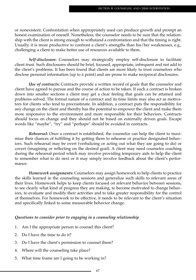or nonexistent. Confrontation when appropriately used can produce growth and prompt an honest examination of oneself. Nonetheless, the counselor needs to be sure that the relationship with the client is strong enough to withstand a confrontation and that the timing is right. Usually, it is more productive to confront a client's strengths than his/her weaknesses, e.g., challenging a client to make better use of resources available to them.

*Self-disclosure:* Counselors may strategically employ self-disclosure to facilitate client trust. Such disclosures should be brief, focused, appropriate, infrequent and not add to the client's problems. It has been found that clients are more likely to trust counselors who disclose personal information (up to a point) and are prone to make reciprocal disclosures.

*Use of contracts:* Contracts provide a written record of goals that the counselor and client have agreed to pursue and the course of action to be taken. If such a contract is broken down into smaller sections a client may get a clear feeling that goals can be attained and problems solved. The formal nature of a contract and its time limits may also act as motivators for clients who tend to procrastinate. In addition, a contract puts the responsibility for any change on the client and thereby has the potential to empower the client and make them more responsive to the environment and more responsible for their behaviors. Contracts should focus on change and they should not be based on externally driven goals. Escape words like "maybe", "try" and "perhaps" should be avoided in contracts.

*Rehearsal:* Once a contract is established, the counselor can help the client to maximize their chances of fulfilling it by getting them to rehearse or practice designated behaviors. Such rehearsal may be overt (verbalizing or acting out what they are going to do) or covert (imagining or reflecting on the desired goal). A client may need counselor coaching during the rehearsal period which may involve providing temporary aids to help the client to remember what to do next or it may simply involve feedback about the client's performance.

*Homework assignments:* Counselors may assign homework to help clients to practice the skills learned in the counseling sessions and generalize such skills to relevant areas of their lives. Homework helps to keep clients focused on relevant behavior between sessions, to see clearly what kind of progress they are making, to become motivated to change behaviors, to evaluate and modify their activities and to take greater responsibility for the control of themselves. For homework to be effective, it needs to be relevant to the client's situation and specifically linked to some measurable behavior change.

#### *Questions to consider prior to engaging in a counseling relationship*

- 1. Am I the appropriate person to counsel this client?
- 2. Do I have the time to do it?
- 3. Do I have the client's permission to counsel them?
- 4. Where will the counseling take place?
- 5. What time frame am I going to be working in?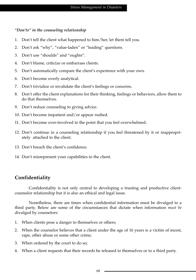#### *"Don'ts" in the counseling relationship*

- 1. Don't tell the client what happened to him/her, let them tell you.
- 2. Don't ask "why", "value-laden" or "leading" questions.
- 3. Don't use "shoulds" and "oughts".
- 4. Don't blame, criticize or embarrass clients.
- 5. Don't automatically compare the client's experience with your own.
- 6. Don't become overly analytical.
- 7. Don't trivialize or invalidate the client's feelings or concerns.
- 8. Don't offer the client explanations for their thinking, feelings or behaviors, allow them to do that themselves.
- 9. Don't reduce counseling to giving advice.
- 10. Don't become impatient and/or appear rushed.
- 11. Don't become over-involved to the point that you feel overwhelmed.
- 12. Don't continue in a counseling relationship if you feel threatened by it or inappropriately attached to the client.
- 13. Don't breach the client's confidence.
- 14. Don't misrepresent your capabilities to the client.

## **Confidentiality**

Confidentiality is not only central to developing a trusting and productive clientcounselor relationship but it is also an ethical and legal issue.

Nonetheless, there are times when confidential information must be divulged to a third party. Below are some of the circumstances that dictate when information *must be* divulged by counselors:

- 1. When clients pose a danger to themselves or others;
- 2. When the counselor believes that a client under the age of 16 years is a victim of incest, rape, other abuse or some other crime;
- 3. When ordered by the court to do so;
- 4. When a client requests that their records be released to themselves or to a third party.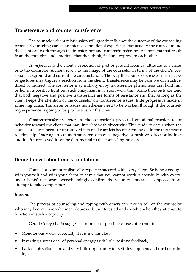#### **Transference and countertransference**

The counselor-client relationship will greatly influence the outcome of the counseling process. Counseling can be an intensely emotional experience but usually the counselor and the client can work through the transference and countertransference phenomena that result from the thoughts and emotions that they think, feel and express to each other.

*Transference* is the client's projection of past or present feelings, attitudes or desires onto the counselor. A client reacts to the image of the counselor in terms of the client's personal background and current life circumstances. The way the counselor dresses, sits, speaks or gestures may trigger a reaction from the client. Transference may be positive or negative, direct or indirect. The counselor may initially enjoy transference phenomena that hold him or her in a positive light but such enjoyment may soon wear thin. Some therapists contend that both negative and positive transference are forms of resistance and that as long as the client keeps the attention of the counselor on transference issues, little progress is made in achieving goals. Transference issues nonetheless need to be worked through if the counseling experience is going to be productive for the client.

*Countertransference* refers to the counselor's projected emotional reaction to or behavior toward the client that may interfere with objectivity. This tends to occur when the counselor's own needs or unresolved personal conflicts become entangled in the therapeutic relationship. Once again, countertransference may be negative or positive, direct or indirect and if left unresolved it can be detrimental to the counseling process.

#### **Being honest about one's limitations**

Counselors cannot realistically expect to succeed with every client. Be honest enough with yourself and with your client to admit that you cannot work successfully with everyone. Clients' responses overwhelmingly confirm the value of honesty as opposed to an attempt to fake competence.

#### *Burnout*

The process of counseling and coping with others can take its toll on the counselor who may become overwhelmed, depressed, uninterested and irritable when they attempt to function in such a capacity.

Gerad Corey (1996) suggests a number of possible causes of burnout:

- Monotonous work, especially if it is meaningless;
- Investing a great deal of personal energy with little positive feedback;
- Lack of job satisfaction and very little opportunity for self-development and further training;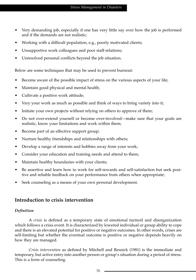- Very demanding job, especially if one has very little say over how the job is performed and if the demands are not realistic;
- Working with a difficult population, e.g., poorly motivated clients;
- Unsupportive work colleagues and poor staff-relations;
- Unresolved personal conflicts beyond the job situation.

Below are some techniques that may be used to prevent burnout:

- Become aware of the possible impact of stress on the various aspects of your life;
- Maintain good physical and mental health;
- Cultivate a positive work attitude;
- Vary your work as much as possible and think of ways to bring variety into it;
- Initiate your own projects without relying on others to approve of them;
- Do not over-extend yourself or become over-involved—make sure that your goals are realistic, know your limitations and work within them;
- Become part of an effective support group;
- Nurture healthy friendships and relationships with others;
- Develop a range of interests and hobbies away from your work;
- Consider your education and training needs and attend to them;
- Maintain healthy boundaries with your clients;
- Be assertive and learn how to work for self-rewards and self-satisfaction but seek positive and reliable feedback on your performance from others when appropriate;
- Seek counseling as a means of your own personal development.

#### **Introduction to crisis intervention**

#### *Definition*

A *crisis* is defined as a temporary state of emotional turmoil and disorganization which follows a crisis event. It is characterized by lowered individual or group ability to cope and there is an elevated potential for positive or negative outcomes. In other words, crises are self-limiting but whether the eventual outcome is positive or negative depends heavily on how they are managed.

*Crisis intervention* as defined by Mitchell and Resnick (1981) is the immediate and temporary, but active entry into another person or group's situation during a period of stress. This is a form of counseling.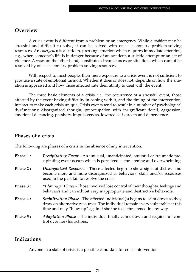#### **Overview**

A crisis event is different from a problem or an emergency. While a *problem* may be stressful and difficult to solve, it can be solved with one's customary problem-solving resources. An *emergency* is a sudden, pressing situation which requires immediate attention, e.g., when someone's life is in danger because of an accident, a suicide attempt or an act of violence. A *crisis* on the other hand, constitutes circumstances or situations which cannot be resolved by one's customary problem-solving resources.

With respect to most people, their mere exposure to a crisis event is not sufficient to produce a state of emotional turmoil. Whether it does or does not, depends on how the situation is appraised and how those affected rate their ability to deal with the event.

The three basic elements of a crisis, i.e., the occurrence of a stressful event, those affected by the event having difficulty in coping with it, and the timing of the intervention, interact to make each crisis unique. Crisis events tend to result in a number of psychological dysfunctions: disorganized thought, preoccupation with insignificant detail, aggression, emotional distancing, passivity, impulsiveness, lowered self-esteem and dependence.

#### **Phases of a crisis**

The following are phases of a crisis in the absence of any intervention:

| Phase 1: | Precipitating Event - An unusual, unanticipated, stressful or traumatic pre-<br>cipitating event occurs which is perceived as threatening and overwhelming.                                                                                 |
|----------|---------------------------------------------------------------------------------------------------------------------------------------------------------------------------------------------------------------------------------------------|
| Phase 2: | Disorganized Response - Those affected begin to show signs of distress and<br>become more and more disorganized as behaviors, skills and/or resources<br>used in the past fail to resolve the crisis.                                       |
| Phase 3: | "Blow-up" Phase - Those involved lose control of their thoughts, feelings and<br>behaviors and can exhibit very inappropriate and destructive behaviors.                                                                                    |
| Phase 4: | <i>Stabilization Phase</i> - The affected individual(s) begins to calm down as they<br>draw on alternative resources. The individual remains very vulnerable at this<br>time and may "blow up" again if she/he feels threatened in any way. |
| Phase 5: | <i>Adaptation Phase - The individual finally calms down and regains full con-</i><br>trol over her/his actions.                                                                                                                             |

#### **Indications**

Anyone in a state of crisis is a possible candidate for crisis intervention.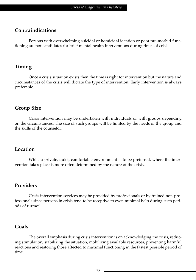#### **Contraindications**

Persons with overwhelming suicidal or homicidal ideation or poor pre-morbid functioning are not candidates for brief mental health interventions during times of crisis.

#### **Timing**

Once a crisis situation exists then the time is right for intervention but the nature and circumstances of the crisis will dictate the type of intervention. Early intervention is always preferable.

#### **Group Size**

Crisis intervention may be undertaken with individuals or with groups depending on the circumstances. The size of such groups will be limited by the needs of the group and the skills of the counselor.

#### **Location**

While a private, quiet, comfortable environment is to be preferred, where the intervention takes place is more often determined by the nature of the crisis.

#### **Providers**

Crisis intervention services may be provided by professionals or by trained non-professionals since persons in crisis tend to be receptive to even minimal help during such periods of turmoil.

#### **Goals**

The overall emphasis during crisis intervention is on acknowledging the crisis, reducing stimulation, stabilizing the situation, mobilizing available resources, preventing harmful reactions and restoring those affected to maximal functioning in the fastest possible period of time.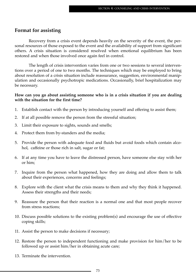#### **Format for assisting**

Recovery from a crisis event depends heavily on the severity of the event, the personal resources of those exposed to the event and the availability of support from significant others. A crisis situation is considered resolved when emotional equilibrium has been restored and when those involved once again feel in control.

The length of crisis intervention varies from one or two sessions to several interventions over a period of one to two months. The techniques which may be employed to bring about resolution of a crisis situation include reassurance, suggestion, environmental manipulation and occasionally psychotropic medications. Occasionally, brief hospitalization may be necessary.

#### **How can you go about assisting someone who is in a crisis situation if you are dealing with the situation for the first time?**

- 1. Establish contact with the person by introducing yourself and offering to assist them;
- 2. If at all possible remove the person from the stressful situation;
- 3. Limit their exposure to sights, sounds and smells;
- 4. Protect them from by-standers and the media;
- 5. Provide the person with adequate food and fluids but avoid foods which contain alcohol, caffeine or those rich in salt, sugar or fat;
- 6. If at any time you have to leave the distressed person, have someone else stay with her or him;
- 7. Inquire from the person what happened, how they are doing and allow them to talk about their experiences, concerns and feelings;
- 8. Explore with the client what the crisis means to them and why they think it happened. Assess their strengths and their needs;
- 9. Reassure the person that their reaction is a normal one and that most people recover from stress reactions;
- 10. Discuss possible solutions to the existing problem(s) and encourage the use of effective coping skills;
- 11. Assist the person to make decisions if necessary;
- 12. Restore the person to independent functioning and make provision for him/her to be followed up or assist him/her in obtaining acute care;
- 13. Terminate the intervention.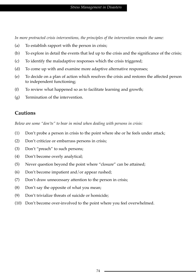*In more protracted crisis interventions, the principles of the intervention remain the same:*

- (a) To establish rapport with the person in crisis;
- (b) To explore in detail the events that led up to the crisis and the significance of the crisis;
- (c) To identify the maladaptive responses which the crisis triggered;
- (d) To come up with and examine more adaptive alternative responses;
- (e) To decide on a plan of action which resolves the crisis and restores the affected person to independent functioning;
- (f) To review what happened so as to facilitate learning and growth;
- (g) Termination of the intervention.

#### **Cautions**

*Below are some "don'ts" to bear in mind when dealing with persons in crisis:*

- (1) Don't probe a person in crisis to the point where she or he feels under attack;
- (2) Don't criticize or embarrass persons in crisis;
- (3) Don't "preach" to such persons;
- (4) Don't become overly analytical;
- (5) Never question beyond the point where "closure" can be attained;
- (6) Don't become impatient and/or appear rushed;
- (7) Don't draw unnecessary attention to the person in crisis;
- (8) Don't say the opposite of what you mean;
- (9) Don't trivialize threats of suicide or homicide;
- (10) Don't become over-involved to the point where you feel overwhelmed.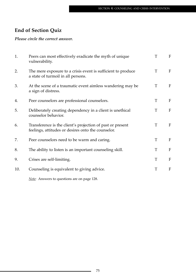# **End of Section Quiz**

#### *Please circle the correct answer.*

| 1.  | Peers can most effectively eradicate the myth of unique<br>vulnerability.                                        | T | F            |
|-----|------------------------------------------------------------------------------------------------------------------|---|--------------|
| 2.  | The mere exposure to a crisis event is sufficient to produce<br>a state of turmoil in all persons.               | T | $\mathbf{F}$ |
| 3.  | At the scene of a traumatic event aimless wandering may be<br>a sign of distress.                                | T | $\mathbf{F}$ |
| 4.  | Peer counselors are professional counselors.                                                                     | T | $\mathbf{F}$ |
| 5.  | Deliberately creating dependency in a client is unethical<br>counselor behavior.                                 | T | F            |
| 6.  | Transference is the client's projection of past or present<br>feelings, attitudes or desires onto the counselor. | T | F            |
| 7.  | Peer counselors need to be warm and caring.                                                                      | T | F            |
| 8.  | The ability to listen is an important counseling skill.                                                          | T | F            |
| 9.  | Crises are self-limiting.                                                                                        | T | $\mathbf F$  |
| 10. | Counseling is equivalent to giving advice.                                                                       | T | F            |
|     |                                                                                                                  |   |              |

*Note:* Answers to questions are on page 128.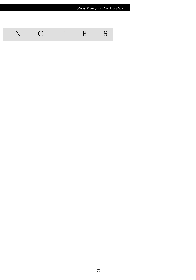| Stress Management in Disasters |                                                                                                                        |             |   |               |  |  |
|--------------------------------|------------------------------------------------------------------------------------------------------------------------|-------------|---|---------------|--|--|
|                                |                                                                                                                        |             |   |               |  |  |
|                                |                                                                                                                        |             |   |               |  |  |
| N                              | $\overline{O}$                                                                                                         | $\mathbf T$ | E | ${\mathsf S}$ |  |  |
|                                |                                                                                                                        |             |   |               |  |  |
|                                |                                                                                                                        |             |   |               |  |  |
|                                |                                                                                                                        |             |   |               |  |  |
|                                |                                                                                                                        |             |   |               |  |  |
|                                |                                                                                                                        |             |   |               |  |  |
|                                |                                                                                                                        |             |   |               |  |  |
|                                |                                                                                                                        |             |   |               |  |  |
|                                |                                                                                                                        |             |   |               |  |  |
|                                |                                                                                                                        |             |   |               |  |  |
|                                |                                                                                                                        |             |   |               |  |  |
|                                |                                                                                                                        |             |   |               |  |  |
|                                |                                                                                                                        |             |   |               |  |  |
|                                |                                                                                                                        |             |   |               |  |  |
|                                | <u> 1989 - Johann Stoff, amerikansk politiker (d. 1989)</u>                                                            |             |   |               |  |  |
|                                | <u> 1989 - Johann Stoff, fransk politik (d. 1989)</u>                                                                  |             |   |               |  |  |
|                                | <u> 1989 - Johann Stoff, fransk politik (d. 1989)</u>                                                                  |             |   |               |  |  |
|                                | <u> 1989 - Johann Stoff, amerikansk politiker (d. 1989)</u>                                                            |             |   |               |  |  |
|                                | <u> 1989 - Johann Stoff, deutscher Stoffen und der Stoffen und der Stoffen und der Stoffen und der Stoffen und der</u> |             |   |               |  |  |
|                                |                                                                                                                        |             |   |               |  |  |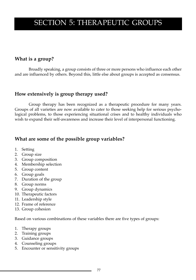# SECTION 5: THERAPEUTIC GROUPS

### **What is a group?**

Broadly speaking, a group consists of three or more persons who influence each other and are influenced by others. Beyond this, little else about groups is accepted as consensus.

#### **How extensively is group therapy used?**

Group therapy has been recognized as a therapeutic procedure for many years. Groups of all varieties are now available to cater to those seeking help for serious psychological problems, to those experiencing situational crises and to healthy individuals who wish to expand their self-awareness and increase their level of interpersonal functioning.

### **What are some of the possible group variables?**

- 1. Setting
- 2. Group size
- 3. Group composition
- 4. Membership selection
- 5. Group content
- 6. Group goals
- 7. Duration of the group
- 8. Group norms
- 9. Group dynamics
- 10. Therapeutic factors
- 11. Leadership style
- 12. Frame of reference
- 13. Group cohesion

Based on various combinations of these variables there are five types of groups:

- 1. Therapy groups
- 2. Training groups
- 3. Guidance groups
- 4. Counseling groups
- 5. Encounter or sensitivity groups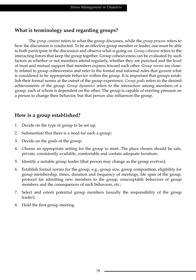## **What is terminology used regarding groups?**

The *group content* refers to what the group discusses, while the *group process* refers to how the discussion is conducted. To be an effective group member or leader, one must be able to both participate in the discussion and observe what is going on. *Group cohesion* refers to the interacting forces that keep the group together. Group cohesiveness can be evaluated by such factors as whether or not members attend regularly, whether they are punctual and the level of trust and mutual support that members express toward each other. *Group norms* are closely related to group cohesiveness and refer to the formal and informal rules that govern what is considered to be appropriate behavior within the group*.* It is important that groups establish their formal norms at the outset of the group experience. *Group goals* refers to the desired achievements of the group. *Group dynamics* refers to the interaction among members of a group, each of whom is dependent on the other. The group is capable of exerting pressure on a person to change their behavior, but that person also influences the group.

## **How is a group established?**

- 1. Decide on the type of group to be set up;
- 2. Substantiate that there is a need for such a group;
- 3. Decide on the goals of the group;
- 4. Choose an appropriate setting for the group to meet. The place chosen should be safe, private, consistently available, comfortable and contain adequate furniture;
- 5. Identify a suitable group leader (that person may change as the group evolves);
- 6. Establish formal norms for the group, e.g., group size, group composition, eligibility for group membership, times, duration and frequency of meetings, life span of the group, protocol for admitting new members to the group, unacceptable behaviors of group members and the consequences of such behaviors, etc.;
- 7. Select and orient potential group members (usually the responsibility of the group leader);
- 8. Hold the first group meeting.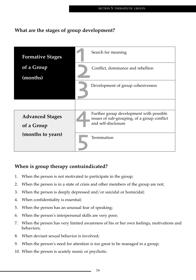## **What are the stages of group development?**



## **When is group therapy contraindicated?**

- 1. When the person is not motivated to participate in the group;
- 2. When the person is in a state of crisis and other members of the group are not;
- 3. When the person is deeply depressed and/or suicidal or homicidal;
- 4. When confidentiality is essential;
- 5. When the person has an unusual fear of speaking;
- 6. When the person's interpersonal skills are very poor;
- 7. When the person has very limited awareness of his or her own feelings, motivations and behaviors;
- 8. When deviant sexual behavior is involved;
- 9. When the person's need for attention is too great to be managed in a group;
- 10. When the person is acutely manic or psychotic.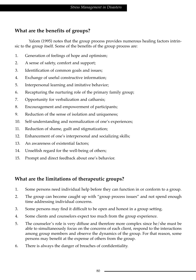# **What are the benefits of groups?**

Yalom (1995) notes that the group process provides numerous healing factors intrinsic to the group itself. Some of the benefits of the group process are:

- 1. Generation of feelings of hope and optimism;
- 2. A sense of safety, comfort and support;
- 3. Identification of common goals and issues;
- 4. Exchange of useful constructive information;
- 5. Interpersonal learning and imitative behavior;
- 6. Recapturing the nurturing role of the primary family group;
- 7. Opportunity for verbalization and catharsis;
- 8. Encouragement and empowerment of participants;
- 9. Reduction of the sense of isolation and uniqueness;
- 10. Self-understanding and normalization of one's experiences;
- 11. Reduction of shame, guilt and stigmatization;
- 12. Enhancement of one's interpersonal and socializing skills;
- 13. An awareness of existential factors;
- 14. Unselfish regard for the well-being of others;
- 15. Prompt and direct feedback about one's behavior.

## **What are the limitations of therapeutic groups?**

- 1. Some persons need individual help before they can function in or conform to a group.
- 2. The group can become caught up with "group process issues" and not spend enough time addressing individual concerns.
- 3. Some persons may find it difficult to be open and honest in a group setting.
- 4. Some clients and counselors expect too much from the group experience.
- 5. The counselor's role is very diffuse and therefore more complex since he/she must be able to simultaneously focus on the concerns of each client, respond to the interactions among group members and observe the dynamics of the group. For that reason, some persons may benefit at the expense of others from the group.
- 6. There is always the danger of breaches of confidentiality.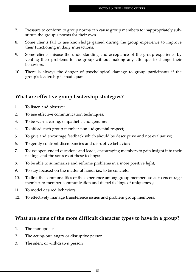- 7. Pressure to conform to group norms can cause group members to inappropriately substitute the group's norms for their own.
- 8. Some clients fail to use knowledge gained during the group experience to improve their functioning in daily interactions.
- 9. Some clients misuse the understanding and acceptance of the group experience by venting their problems to the group without making any attempts to change their behaviors.
- 10. There is always the danger of psychological damage to group participants if the group's leadership is inadequate.

## **What are effective group leadership strategies?**

- 1. To listen and observe;
- 2. To use effective communication techniques;
- 3. To be warm, caring, empathetic and genuine;
- 4. To afford each group member non-judgmental respect;
- 5. To give and encourage feedback which should be descriptive and not evaluative;
- 6. To gently confront discrepancies and disruptive behavior;
- 7. To use open-ended questions and leads, encouraging members to gain insight into their feelings and the sources of these feelings;
- 8. To be able to summarize and reframe problems in a more positive light;
- 9. To stay focused on the matter at hand, i.e., to be concrete;
- 10. To link the commonalities of the experience among group members so as to encourage member-to-member communication and dispel feelings of uniqueness;
- 11. To model desired behaviors;
- 12. To effectively manage transference issues and problem group members.

#### **What are some of the more difficult character types to have in a group?**

- 1. The monopolist
- 2. The acting-out, angry or disruptive person
- 3. The silent or withdrawn person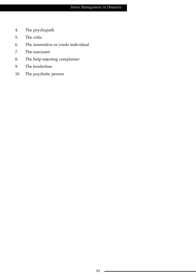- 4. The psychopath
- 5. The critic
- 6. The insensitive or crude individual
- 7. The narcissist
- 8. The help-rejecting complainer
- 9. The borderline
- 10. The psychotic person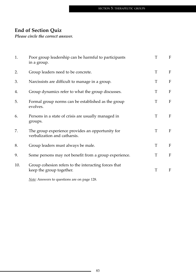# **End of Section Quiz**

*Please circle the correct answer.*

| 1.  | Poor group leadership can be harmful to participants<br>in a group.              | T | $\mathbf F$               |
|-----|----------------------------------------------------------------------------------|---|---------------------------|
| 2.  | Group leaders need to be concrete.                                               | T | ${\bf F}$                 |
| 3.  | Narcissists are difficult to manage in a group.                                  | T | $\rm F$                   |
| 4.  | Group dynamics refer to what the group discusses.                                | T | $\boldsymbol{\mathrm{F}}$ |
| 5.  | Formal group norms can be established as the group<br>evolves.                   | T | $\rm F$                   |
| 6.  | Persons in a state of crisis are usually managed in<br>groups.                   | T | ${\bf F}$                 |
| 7.  | The group experience provides an opportunity for<br>verbalization and catharsis. | T | F                         |
| 8.  | Group leaders must always be male.                                               | T | F                         |
| 9.  | Some persons may not benefit from a group experience.                            | T | F                         |
| 10. | Group cohesion refers to the interacting forces that<br>keep the group together. | T | F                         |
|     | Note: Answers to questions are on page 128.                                      |   |                           |

83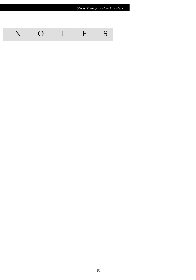| Stress Management in Disasters |                |             |   |               |  |  |
|--------------------------------|----------------|-------------|---|---------------|--|--|
|                                |                |             |   |               |  |  |
| N                              | $\overline{O}$ | $\mathbf T$ | E | ${\mathsf S}$ |  |  |
|                                |                |             |   |               |  |  |
|                                |                |             |   |               |  |  |
|                                |                |             |   |               |  |  |
|                                |                |             |   |               |  |  |
|                                |                |             |   |               |  |  |
|                                |                |             |   |               |  |  |
|                                |                |             |   |               |  |  |
|                                |                |             |   |               |  |  |
|                                |                |             |   |               |  |  |
|                                |                |             |   |               |  |  |
|                                |                |             |   |               |  |  |
|                                |                |             |   |               |  |  |
|                                |                |             |   |               |  |  |
|                                |                |             |   |               |  |  |
|                                |                |             |   |               |  |  |
|                                |                |             |   |               |  |  |
|                                |                |             |   |               |  |  |
|                                |                |             |   |               |  |  |
|                                |                |             |   |               |  |  |
|                                |                |             |   |               |  |  |
|                                |                |             |   |               |  |  |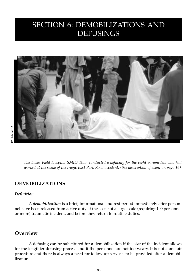# SECTION 6: DEMOBILIZATIONS AND DEFUSINGS



*The Lakes Field Hospital SMID Team conducted a defusing for the eight paramedics who had worked at the scene of the tragic East Park Road accident. (See description of event on page 16)*

#### **DEMOBILIZATIONS**

#### *Definition*

A *demobilization* is a brief, informational and rest period immediately after personnel have been released from active duty at the scene of a large scale (requiring 100 personnel or more) traumatic incident, and before they return to routine duties.

#### **Overview**

A defusing can be substituted for a demobilization if the size of the incident allows for the lengthier defusing process and if the personnel are not too weary. It is not a one-off procedure and there is always a need for follow-up services to be provided after a demobilization.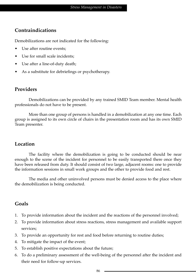## **Contraindications**

Demobilizations are not indicated for the following:

- Use after routine events;
- Use for small scale incidents;
- Use after a line-of-duty death;
- As a substitute for debriefings or psychotherapy.

#### **Providers**

Demobilizations can be provided by any trained SMID Team member. Mental health professionals do not have to be present.

More than one group of persons is handled in a demobilization at any one time. Each group is assigned to its own circle of chairs in the presentation room and has its own SMID Team presenter.

#### **Location**

The facility where the demobilization is going to be conducted should be near enough to the scene of the incident for personnel to be easily transported there once they have been released from duty. It should consist of two large, adjacent rooms: one to provide the information sessions in small work groups and the other to provide food and rest.

The media and other uninvolved persons must be denied access to the place where the demobilization is being conducted.

## **Goals**

- 1. To provide information about the incident and the reactions of the personnel involved;
- 2. To provide information about stress reactions, stress management and available support services;
- 3. To provide an opportunity for rest and food before returning to routine duties;
- 4. To mitigate the impact of the event;
- 5. To establish positive expectations about the future;
- 6. To do a preliminary assessment of the well-being of the personnel after the incident and their need for follow-up services.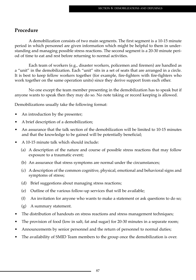#### **Procedure**

A demobilization consists of two main segments. The first segment is a 10-15 minute period in which personnel are given information which might be helpful to them in understanding and managing possible stress reactions. The second segment is a 20-30 minute period of time to eat and rest before returning to normal activities.

Each team of workers (e.g., disaster workers, policemen and firemen) are handled as a "unit" in the demobilization. Each "unit" sits in a set of seats that are arranged in a circle. It is best to keep fellow workers together (for example, fire-fighters with fire-fighters who work together on the same operation units) since they derive support from each other.

No one except the team member presenting in the demobilization has to speak but if anyone wants to speak then they may do so. No note taking or record keeping is allowed.

Demobilizations usually take the following format:

- An introduction by the presenter;
- A brief description of a demobilization;
- An assurance that the talk section of the demobilization will be limited to 10-15 minutes and that the knowledge to be gained will be potentially beneficial;
- A 10-15 minute talk which should include:
	- (a) A description of the nature and course of possible stress reactions that may follow exposure to a traumatic event;
	- (b) An assurance that stress symptoms are normal under the circumstances;
	- (c) A description of the common cognitive, physical, emotional and behavioral signs and symptoms of stress;
	- (d) Brief suggestions about managing stress reactions;
	- (e) Outline of the various follow-up services that will be available;
	- (f) An invitation for anyone who wants to make a statement or ask questions to do so;
	- (g) A summary statement.
- The distribution of handouts on stress reactions and stress management techniques;
- The provision of food (low in salt, fat and sugar) for 20-30 minutes in a separate room;
- Announcements by senior personnel and the return of personnel to normal duties;
- The availability of SMID Team members to the group once the demobilization is over.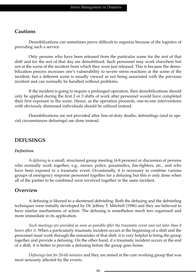#### **Cautions**

Demobilizations can sometimes prove difficult to organize because of the logistics of providing such a service.

Only persons who have been released from the particular scene for the rest of that shift and for the rest of that day are demobilized. Such personnel may work elsewhere but not at the scene of the incident from which they were just released. This is because the demobilization process increases one's vulnerability to severe stress reactions at the scene of the incident, but a different scene is usually viewed as not being associated with the previous incident and can normally be handled without problems.

If the incident is going to require a prolonged operation, then demobilizations should only be applied during the first 2 or 3 shifts of work after personnel would have completed their first exposure to the scene. Hence, as the operation proceeds, one-to-one interventions with obviously distressed individuals should be utilized instead.

Demobilizations are not provided after line-of-duty deaths; debriefings (and in special circumstances defusings) are done instead.

#### **DEFUSINGS**

#### *Definition*

A *defusing* is a small, structured group meeting (4-8 persons) or discussion of persons who normally work together*,* e.g., nurses, police, paramedics, fire-fighters, etc., and who have been exposed to a traumatic event. Occasionally, it is necessary to combine various groups of emergency response personnel together for a defusing but this is only done when all of the parties to be combined were involved together in the same incident.

#### **Overview**

A defusing is likened to a shortened debriefing. Both the defusing and the debriefing techniques were initially developed by Dr. Jeffrey T. Mitchell (1996) and they are believed to have similar mechanisms of action. The defusing is nonetheless much less organized and more immediate in its application.

*Such meetings are provided as soon as possible after the traumatic event and not later than 8 hours after it.* When a particularly traumatic incident occurs at the beginning of a shift and the personnel must work through the remainder of that shift, it is very helpful to bring the group together and provide a defusing. On the other hand, if a traumatic incident occurs at the end of a shift, it is better to provide a defusing before the group goes home.

*Defusings last for 20-60 minutes* and they are aimed at the core working group that was most seriously affected by the events.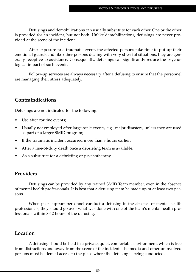Defusings and demobilizations can usually substitute for each other. One or the other is provided for an incident, but not both. Unlike demobilizations, defusings are never provided at the scene of the incident.

After exposure to a traumatic event, the affected persons take time to put up their emotional guards and like other persons dealing with very stressful situations, they are generally receptive to assistance. Consequently, defusings can significantly reduce the psychological impact of such events.

Follow-up services are always necessary after a defusing to ensure that the personnel are managing their stress adequately.

#### **Contraindications**

Defusings are not indicated for the following:

- Use after routine events;
- Usually not employed after large-scale events, e.g., major disasters, unless they are used as part of a larger SMID program;
- If the traumatic incident occurred more than 8 hours earlier;
- After a line-of-duty death once a debriefing team is available;
- As a substitute for a debriefing or psychotherapy.

#### **Providers**

Defusings can be provided by any trained SMID Team member, even in the absence of mental health professionals. It is best that a defusing team be made up of at least two persons.

When peer support personnel conduct a defusing in the absence of mental health professionals, they should go over what was done with one of the team's mental health professionals within 8-12 hours of the defusing.

#### **Location**

A defusing should be held in a private, quiet, comfortable environment, which is free from distractions and away from the scene of the incident. The media and other uninvolved persons must be denied access to the place where the defusing is being conducted.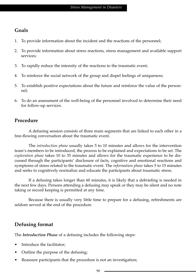## **Goals**

- 1. To provide information about the incident and the reactions of the personnel;
- 2. To provide information about stress reactions, stress management and available support services;
- 3. To rapidly reduce the intensity of the reactions to the traumatic event;
- 4. To reinforce the social network of the group and dispel feelings of uniqueness;
- 5. To establish positive expectations about the future and reinforce the value of the personnel;
- 6. To do an assessment of the well-being of the personnel involved to determine their need for follow-up services.

## **Procedure**

A defusing session consists of three main segments that are linked to each other in a free-flowing conversation about the traumatic event.

The *introduction phase* usually takes 5 to 10 minutes and allows for the intervention team's members to be introduced, the process to be explained and expectations to be set. The *exploration phase* takes 10 to 35 minutes and allows for the traumatic experience to be discussed through the participants' disclosure of facts, cognitive and emotional reactions and symptoms of stress related to the traumatic event. The *information phase* takes 5 to 15 minutes and seeks to cognitively normalize and educate the participants about traumatic stress.

If a defusing takes longer than 60 minutes, it is likely that a debriefing is needed in the next few days. Persons attending a defusing may speak or they may be silent and no note taking or record keeping is permitted at any time.

Because there is usually very little time to prepare for a defusing, refreshments are seldom served at the end of the procedure.

## **Defusing format**

The *Introduction Phase* of a defusing includes the following steps:

- Introduce the facilitator;
- Outline the purpose of the defusing;
- Reassure participants that the procedure is not an investigation;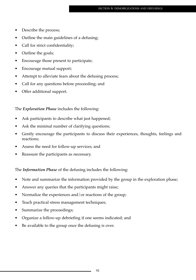- Describe the process;
- Outline the main guidelines of a defusing;
- Call for strict confidentiality;
- Outline the goals;
- Encourage those present to participate;
- Encourage mutual support;
- Attempt to alleviate fears about the defusing process;
- Call for any questions before proceeding; and
- Offer additional support.

The *Exploration Phase* includes the following:

- Ask participants to describe what just happened;
- Ask the minimal number of clarifying questions;
- Gently encourage the participants to discuss their experiences, thoughts, feelings and reactions;
- Assess the need for follow-up services; and
- Reassure the participants as necessary.

The *Information Phase* of the defusing includes the following:

- Note and summarize the information provided by the group in the exploration phase;
- Answer any queries that the participants might raise;
- Normalize the experiences and/or reactions of the group;
- Teach practical stress management techniques;
- Summarize the proceedings;
- Organize a follow-up debriefing if one seems indicated; and
- Be available to the group once the defusing is over.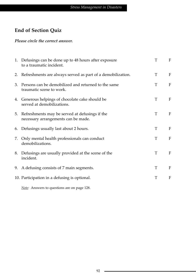# **End of Section Quiz**

#### *Please circle the correct answer.*

| 1. Defusings can be done up to 48 hours after exposure<br>to a traumatic incident.       | T | F |
|------------------------------------------------------------------------------------------|---|---|
| 2. Refreshments are always served as part of a demobilization.                           | T | F |
| 3. Persons can be demobilized and returned to the same<br>traumatic scene to work.       | T | F |
| 4. Generous helpings of chocolate cake should be<br>served at demobilizations.           | T | F |
| 5. Refreshments may be served at defusings if the<br>necessary arrangements can be made. | T | F |
| 6. Defusings usually last about 2 hours.                                                 | T | F |
| 7. Only mental health professionals can conduct<br>demobilizations.                      | T | F |
| 8. Defusings are usually provided at the scene of the<br>incident.                       | T | F |
| 9. A defusing consists of 7 main segments.                                               | T | F |
| 10. Participation in a defusing is optional.                                             | T | F |

*Note:* Answers to questions are on page 128.

÷.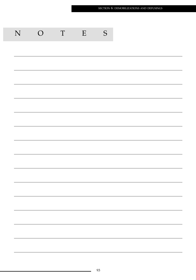| ${\bf N}$ | $\bigcirc$ | T | E | S |
|-----------|------------|---|---|---|
|           |            |   |   |   |
|           |            |   |   |   |
|           |            |   |   |   |
|           |            |   |   |   |
|           |            |   |   |   |
|           |            |   |   |   |
|           |            |   |   |   |
|           |            |   |   |   |
|           |            |   |   |   |
|           |            |   |   |   |
|           |            |   |   |   |
|           |            |   |   |   |
|           |            |   |   |   |
|           |            |   |   |   |
|           |            |   |   |   |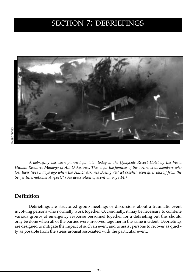# SECTION 7: DEBRIEFINGS



*A debriefing has been planned for later today at the Quayside Resort Hotel by the Vesta Human Resource Manager of A.L.D Airlines. This is for the families of the airline crew members who lost their lives 5 days ago when the A.L.D Airlines Boeing 747 jet crashed soon after takeoff from the Seajet International Airport." (See description of event on page 14.)*

#### **Definition**

Debriefings are structured group meetings or discussions about a traumatic event involving persons who normally work together. Occasionally, it may be necessary to combine various groups of emergency response personnel together for a debriefing but this should only be done when all of the parties were involved together in the same incident. Debriefings are designed to mitigate the impact of such an event and to assist persons to recover as quickly as possible from the stress arousal associated with the particular event.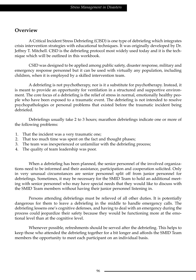#### **Overview**

A Critical Incident Stress Debriefing (CISD) is one type of debriefing which integrates crisis intervention strategies with educational techniques. It was originally developed by Dr. Jeffrey T. Mitchell. CISD is the debriefing protocol most widely used today and it is the technique which will be outlined in this workbook.

CSID was designed to be applied among public safety, disaster response, military and emergency response personnel but it can be used with virtually any population, including children, when it is employed by a skilled intervention team.

A debriefing is not psychotherapy, nor is it a substitute for psychotherapy. Instead, it is meant to provide an opportunity for ventilation in a structured and supportive environment. The core focus of a debriefing is the relief of stress in normal, emotionally healthy people who have been exposed to a traumatic event. The debriefing is not intended to resolve psychopathologies or personal problems that existed before the traumatic incident being debriefed.

Debriefings usually take 2 to 3 hours; marathon debriefings indicate one or more of the following problems:

- 1. That the incident was a very traumatic one;
- 2. That too much time was spent on the fact and thought phases;
- 3. The team was inexperienced or unfamiliar with the debriefing process;
- 4. The quality of team leadership was poor.

When a debriefing has been planned, the senior personnel of the involved organizations need to be informed and their assistance, participation and cooperation solicited. Only in very unusual circumstances are senior personnel split off from junior personnel for debriefings. Sometimes, it may be necessary for the SMID Team to hold an additional meeting with senior personnel who may have special needs that they would like to discuss with the SMID Team members without having their junior personnel listening in.

Persons attending debriefings must be relieved of all other duties. It is potentially dangerous for them to leave a debriefing in the middle to handle emergency calls. The debriefing lessens one's cognitive defenses, and having to deal with an emergency during the process could jeopardize their safety because they would be functioning more at the emotional level than at the cognitive level.

Whenever possible, refreshments should be served after the debriefing. This helps to keep those who attended the debriefing together for a bit longer and affords the SMID Team members the opportunity to meet each participant on an individual basis.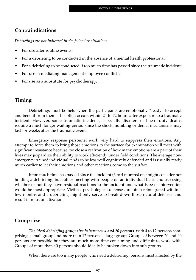#### **Contraindications**

*Debriefings are not indicated in the following situations:*

- For use after routine events;
- For a debriefing to be conducted in the absence of a mental health professional;
- For a debriefing to be conducted if too much time has passed since the traumatic incident;
- For use in mediating management-employee conflicts;
- For use as a substitute for psychotherapy.

#### **Timing**

Debriefings must be held when the participants are emotionally "ready" to accept and benefit from them. This often occurs within 24 to 72 hours after exposure to a traumatic incident. However, some traumatic incidents, especially disasters or line-of-duty deaths require a much longer waiting period since the shock, numbing or denial mechanisms may last for weeks after the traumatic event.

Emergency response personnel work very hard to suppress their emotions. Any attempt to force them to bring those emotions to the surface for examination will meet with significant resistance because too close a realization of how many emotions are a part of their lives may jeopardize their ability to work efficiently under field conditions. The average nonemergency trained individual tends to be less well cognitively defended and is usually ready much earlier to let their emotions and other reactions come to the surface.

If too much time has passed since the incident (3 to 4 months) one might consider not holding a debriefing, but rather meeting with people on an individual basis and assessing whether or not they have residual reactions to the incident and what type of intervention would be most appropriate. Victims' psychological defenses are often reintegrated within a few months and a debriefing might only serve to break down those natural defenses and result in re-traumatization.

## **Group size**

*The ideal debriefing group size is between 4 and 20 persons*, with 4 to 12 persons comprising a small group and more than 12 persons a large group. Groups of between 20 and 40 persons are possible but they are much more time-consuming and difficult to work with. Groups of more than 40 persons should ideally be broken down into sub-groups.

When there are too many people who need a debriefing, persons most affected by the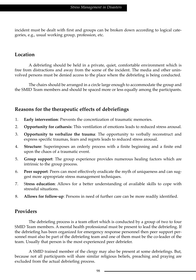incident must be dealt with first and groups can be broken down according to logical categories, e.g., usual working group, profession, etc.

#### **Location**

A debriefing should be held in a private, quiet, comfortable environment which is free from distractions and away from the scene of the incident. The media and other uninvolved persons must be denied access to the place where the debriefing is being conducted.

The chairs should be arranged in a circle large enough to accommodate the group and the SMID Team members and should be spaced more or less equally among the participants.

### **Reasons for the therapeutic effects of debriefings**

- 1. **Early intervention**: Prevents the concretization of traumatic memories.
- 2. **Opportunity for catharsis**: This ventilation of emotions leads to reduced stress arousal.
- 3. **Opportunity to verbalize the trauma**: The opportunity to verbally reconstruct and express specific traumas, fears and regrets leads to reduced stress arousal.
- 4. **Structure**: Superimposes an orderly process with a finite beginning and a finite end upon the chaos of a traumatic event.
- 5. **Group support**: The group experience provides numerous healing factors which are intrinsic to the group process.
- 6. **Peer support**: Peers can most effectively eradicate the myth of uniqueness and can suggest more appropriate stress management techniques.
- 7. S**tress education**: Allows for a better understanding of available skills to cope with stressful situations.
- 8. **Allows for follow-up**: Persons in need of further care can be more readily identified.

## **Providers**

The debriefing process is a team effort which is conducted by a group of two to four SMID Team members. A mental health professional must be present to lead the debriefing. If the debriefing has been organized for emergency response personnel then peer support personnel must also be part of the debriefing team and one of them must be the co-leader of the team. Usually that person is the most experienced peer debriefer.

A SMID trained member of the clergy may also be present at some debriefings. But, because not all participants will share similar religious beliefs, preaching and praying are excluded from the actual debriefing process.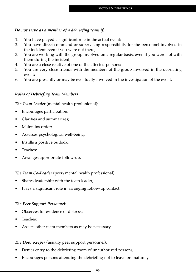#### *Do not serve as a member of a debriefing team if:*

- 1. You have played a significant role in the actual event;
- 2. You have direct command or supervising responsibility for the personnel involved in the incident even if you were not there;
- 3. You are working with the group involved on a regular basis, even if you were not with them during the incident;
- 4. You are a close relative of one of the affected persons;
- 5. You are very close friends with the members of the group involved in the debriefing event;
- 6. You are presently or may be eventually involved in the investigation of the event.

#### *Roles of Debriefing Team Members*

*The Team Leader* (mental health professional):

- Encourages participation;
- Clarifies and summarizes;
- Maintains order;
- Assesses psychological well-being;
- Instills a positive outlook;
- Teaches;
- Arranges appropriate follow-up.

*The Team Co-Leader* (peer/mental health professional):

- Shares leadership with the team leader;
- Plays a significant role in arranging follow-up contact.

#### *The Peer Support Personnel:*

- Observes for evidence of distress;
- Teaches;
- Assists other team members as may be necessary.

*The Door Keeper* (usually peer support personnel):

- Denies entry to the debriefing room of unauthorized persons;
- Encourages persons attending the debriefing not to leave prematurely.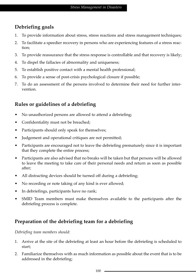# **Debriefing goals**

- 1. To provide information about stress, stress reactions and stress management techniques;
- 2. To facilitate a speedier recovery in persons who are experiencing features of a stress reaction;
- 3. To provide reassurance that the stress response is controllable and that recovery is likely;
- 4. To dispel the fallacies of abnormality and uniqueness;
- 5. To establish positive contact with a mental health professional;
- 6. To provide a sense of post-crisis psychological closure if possible;
- 7. To do an assessment of the persons involved to determine their need for further intervention.

# **Rules or guidelines of a debriefing**

- No unauthorized persons are allowed to attend a debriefing;
- Confidentiality must not be breached;
- Participants should only speak for themselves;
- Judgement and operational critiques are not permitted;
- Participants are encouraged not to leave the debriefing prematurely since it is important that they complete the entire process;
- Participants are also advised that no breaks will be taken but that persons will be allowed to leave the meeting to take care of their personal needs and return as soon as possible after;
- All distracting devices should be turned off during a debriefing;
- No recording or note taking of any kind is ever allowed;
- In debriefings, participants have no rank;
- SMID Team members must make themselves available to the participants after the debriefing process is complete.

# **Preparation of the debriefing team for a debriefing**

*Debriefing team members should:*

- 1. Arrive at the site of the debriefing at least an hour before the debriefing is scheduled to start;
- 2. Familiarize themselves with as much information as possible about the event that is to be addressed in the debriefing;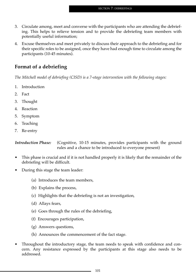- 3. Circulate among, meet and converse with the participants who are attending the debriefing. This helps to relieve tension and to provide the debriefing team members with potentially useful information;
- 4. Excuse themselves and meet privately to discuss their approach to the debriefing and for their specific roles to be assigned, once they have had enough time to circulate among the participants (10-45 minutes).

## **Format of a debriefing**

*The Mitchell model of debriefing (CISD) is a 7-stage intervention with the following stages:*

- 1. Introduction
- 2. Fact
- 3. Thought
- 4. Reaction
- 5. Symptom
- 6. Teaching
- 7. Re-entry

*Introduction Phase:* (Cognitive, 10-15 minutes, provides participants with the ground rules and a chance to be introduced to everyone present)

- This phase is crucial and if it is not handled properly it is likely that the remainder of the debriefing will be difficult.
- During this stage the team leader:
	- (a) Introduces the team members,
	- (b) Explains the process,
	- (c) Highlights that the debriefing is not an investigation,
	- (d) Allays fears,
	- (e) Goes through the rules of the debriefing,
	- (f) Encourages participation,
	- (g) Answers questions,
	- (h) Announces the commencement of the fact stage.
- Throughout the introductory stage, the team needs to speak with confidence and concern. Any resistance expressed by the participants at this stage also needs to be addressed.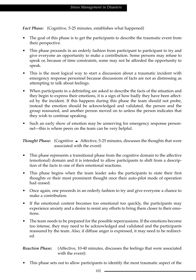*Fact Phase:* (Cognitive, 5-25 minutes, establishes what happened)

- The goal of this phase is to get the participants to describe the traumatic event from their perspective.
- This phase proceeds in an orderly fashion from participant to participant to try and give everyone an opportunity to make a contribution. Some persons may refuse to speak or, because of time constraints, some may not be afforded the opportunity to speak.
- This is the most logical way to start a discussion about a traumatic incident with emergency response personnel because discussions of facts are not as distressing as attempting to talk about feelings.
- When participants in a debriefing are asked to describe the facts of the situation and they begin to express their emotions, it is a sign of how badly they have been affected by the incident. If this happens during this phase the team should not probe, instead the emotion should be acknowledged and validated, the person and the group reassured, and another person moved on to unless the person indicates that they wish to continue speaking.
- Such an early show of emotion may be unnerving for emergency response personnel—this is where peers on the team can be very helpful.

*Thought Phase:* (Cognitive  $\rightarrow$  Affective, 5-25 minutes, discusses the thoughts that were associated with the event)

- This phase represents a transitional phase from the cognitive domain to the affective (emotional) domain and it is intended to allow participants to shift from a description of the facts to one of their emotional reactions.
- This phase begins when the team leader asks the participants to state their first thoughts or their most prominent thought once their auto-pilot mode of operation had ceased.
- Once again, one proceeds in an orderly fashion to try and give everyone a chance to make a contribution.
- If the emotional content becomes too emotional too quickly, the participants may experience anxiety and a desire to resist any efforts to bring them closer to their emotions.
- The team needs to be prepared for the possible repercussions. If the emotions become too intense, they may need to be acknowledged and validated and the participants reassured by the team. Also, if diffuse anger is expressed, it may need to be redirected.

*Reaction Phase:* (Affective, 10-40 minutes, discusses the feelings that were associated with the event):

This phase sets out to allow participants to identify the most traumatic aspect of the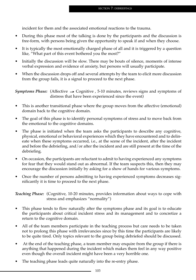incident for them and the associated emotional reactions to the trauma.

- During this phase most of the talking is done by the participants and the discussion is free-form, with persons being given the opportunity to speak if and when they choose.
- It is typically the most emotionally charged phase of all and it is triggered by a question like, "What part of this event bothered you the most?"
- Initially the discussion will be slow. There may be bouts of silence, moments of intense verbal expression and evidence of anxiety, but persons will usually participate.
- When the discussion drops off and several attempts by the team to elicit more discussion from the group fails, it is a signal to proceed to the next phase.

*Symptoms Phase:* (Affective  $\rightarrow$  Cognitive , 5-10 minutes, reviews signs and symptoms of distress that have been experienced since the event)

- This is another transitional phase where the group moves from the affective (emotional) domain back to the cognitive domain.
- The goal of this phase is to identify personal symptoms of stress and to move back from the emotional to the cognitive domains.
- The phase is initiated when the team asks the participants to describe any cognitive, physical, emotional or behavioral experiences which they have encountered and to delineate when these symptoms occurred, i.e., at the scene of the incident, after the incident and before the debriefing, and/or after the incident and are still present at the time of the debriefing.
- On occasion, the participants are reluctant to admit to having experienced any symptoms for fear that they would stand out as abnormal. If the team suspects this, then they may encourage the discussion initially by asking for a show of hands for various symptoms.
- Once the number of persons admitting to having experienced symptoms decreases significantly it is time to proceed to the next phase.

*Teaching Phase:* (Cognitive, 10-20 minutes, provides information about ways to cope with stress and emphasizes "normality")

- This phase tends to flow naturally after the symptoms phase and its goal is to educate the participants about critical incident stress and its management and to concretize a return to the cognitive domain.
- All of the team members participate in the teaching process but care needs to be taken not to prolong this phase with irrelevancies since by this time the participants are likely to be quite tired. Only topics relevant to the group being debriefed should be discussed.
- At the end of the teaching phase, a team member may enquire from the group if there is anything that happened during the incident which makes them feel in any way positive even though the overall incident might have been a very horrible one.
- The teaching phase leads quite naturally into the re-entry phase.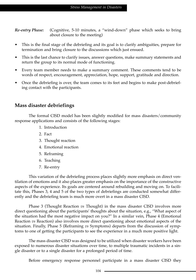*Re-entry Phase:* (Cognitive, 5-10 minutes, a "wind-down" phase which seeks to bring about closure to the meeting)

- This is the final stage of the debriefing and its goal is to clarify ambiguities, prepare for termination and bring closure to the discussions which just ensued.
- This is the last chance to clarify issues, answer questions, make summary statements and return the group to its normal mode of functioning.
- Every team member needs to make a summary comment. These comments tend to be words of respect, encouragement, appreciation, hope, support, gratitude and direction.
- Once the debriefing is over, the team comes to its feet and begins to make post-debriefing contact with the participants.

### **Mass disaster debriefings**

The formal CISD model has been slightly modified for mass disasters/community response applications and consists of the following stages:

- 1. Introduction
- 2. Fact
- 3. Thought reaction
- 4. Emotional reaction
- 5. Reframing
- 6. Teaching
- 7. Re-entry

This variation of the debriefing process places slightly more emphasis on direct ventilation of emotions and it also places greater emphasis on the importance of the constructive aspects of the experience. Its goals are centered around rebuilding and moving on. To facilitate this, Phases 3, 4 and 5 of the two types of debriefings are conducted somewhat differently and the debriefing team is much more overt in a mass disaster CISD.

Phase 3 (Thought Reaction *vs* Thought) in the mass disaster CISD involves more direct questioning about the participants' thoughts about the situation, e.g., "What aspect of the situation had the most negative impact on you?" In a similar vein, Phase 4 (Emotional Reaction *vs* Reaction) also involves more direct questioning about emotional aspects of the situation. Finally, Phase 5 (Reframing *vs* Symptoms) departs from the discussion of symptoms to one of getting the participants to see the experience in a much more positive light.

The mass disaster CISD was designed to be utilized when disaster workers have been exposed to numerous disaster situations over time, to multiple traumatic incidents in a single disaster or to a single disaster for a prolonged period of time.

Before emergency response personnel participate in a mass disaster CISD they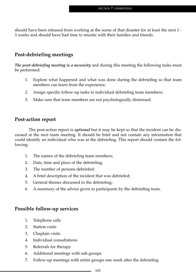should have been released from working at the scene of that disaster for at least the next 1 - 3 weeks and should have had time to reunite with their families and friends.

### **Post-debriefing meetings**

*The post-debriefing meeting is a necessity* and during this meeting the following tasks must be performed:

- 1. Explore what happened and what was done during the debriefing so that team members can learn from the experience;
- 2. Assign specific follow-up tasks to individual debriefing team members;
- 3. Make sure that team members are not psychologically distressed.

### **Post-action report**

The post-action report is *optional* but it may be kept so that the incident can be discussed at the next team meeting. It should be brief and not contain any information that could identify an individual who was at the debriefing. This report should contain the following:

- 1. The names of the debriefing team members;
- 2. Date, time and place of the debriefing;
- 3. The number of persons debriefed;
- 4. A brief description of the incident that was debriefed;
- 5. General themes discussed in the debriefing;
- 6. A summary of the advice given to participants by the debriefing team.

### **Possible follow-up services**

- 1. Telephone calls
- 2. Station visits
- 3. Chaplain visits
- 4. Individual consultations
- 5. Referrals for therapy
- 6. Additional meetings with sub-groups
- 7. Follow-up meetings with entire groups one week after the debriefing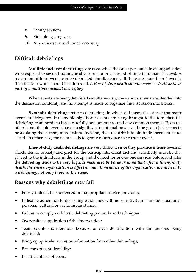- 8. Family sessions
- 9. Ride-along programs
- 10. Any other service deemed necessary

### **Difficult debriefings**

**Multiple incident debriefings** are used when the same personnel in an organization were exposed to several traumatic stressors in a brief period of time (less than 14 days). A maximum of four events can be debriefed simultaneously. If there are more than 4 events, then the four worst should be addressed. *A line-of-duty death should never be dealt with as part of a multiple incident debriefing.*

When events are being debriefed simultaneously, the various events are blended into the discussion randomly and no attempt is made to organize the discussion into blocks.

**Symbolic debriefings** refer to debriefings in which old memories of past traumatic events are triggered. If many old significant events are being brought to the fore, then the debriefing team needs to listen carefully and attempt to find any common themes. If, on the other hand, the old events have no significant emotional power and the group just seems to be avoiding the current, more painful incident, then the drift into old topics needs to be resisted. In either case, the team needs to gently reintroduce the current event.

**Line-of-duty death debriefings** are very difficult since they produce intense levels of shock, denial, anxiety and grief for the participants. Great tact and sensitivity must be displayed to the individuals in the group and the need for one-to-one services before and after the debriefing tends to be very high. *It must also be borne in mind that after a line-of-duty death, the entire organization is affected and all members of the organization are invited to a debriefing, not only those at the scene.*

### **Reasons why debriefings may fail**

- Poorly trained, inexperienced or inappropriate service providers;
- Inflexible adherence to debriefing guidelines with no sensitivity for unique situational, personal, cultural or social circumstances;
- Failure to comply with basic debriefing protocols and techniques;
- Overzealous application of the intervention;
- Team counter-transferences because of over-identification with the persons being debriefed;
- Bringing up irrelevancies or information from other debriefings;
- Breaches of confidentiality;
- Insufficient use of peers;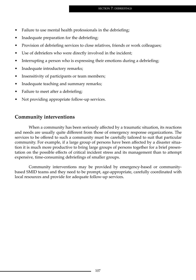- Failure to use mental health professionals in the debriefing;
- Inadequate preparation for the debriefing;
- Provision of debriefing services to close relatives, friends or work colleagues;
- Use of debriefers who were directly involved in the incident;
- Interrupting a person who is expressing their emotions during a debriefing;
- Inadequate introductory remarks;
- Insensitivity of participants or team members;
- Inadequate teaching and summary remarks;
- Failure to meet after a debriefing;
- Not providing appropriate follow-up services.

### **Community interventions**

When a community has been seriously affected by a traumatic situation, its reactions and needs are usually quite different from those of emergency response organizations. The services to be offered to such a community must be carefully tailored to suit that particular community. For example, if a large group of persons have been affected by a disaster situation it is much more productive to bring large groups of persons together for a brief presentation on the possible effects of critical incident stress and its management than to attempt expensive, time-consuming debriefings of smaller groups.

Community interventions may be provided by emergency-based or communitybased SMID teams and they need to be prompt, age-appropriate, carefully coordinated with local resources and provide for adequate follow-up services.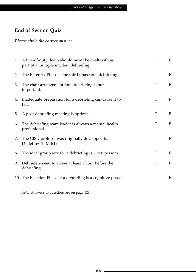## **End of Section Quiz**

#### *Please circle the correct answer*.

|    | 1. A line-of-duty death should never be dealt with as<br>part of a multiple incident debriefing. | T | $\mathbf{F}$ |
|----|--------------------------------------------------------------------------------------------------|---|--------------|
| 2. | The Re-entry Phase is the third phase of a debriefing.                                           | T | F            |
| 3. | The chair arrangement for a debriefing is not<br>important.                                      | T | $\mathbf{F}$ |
| 4. | Inadequate preparation for a debriefing can cause it to<br>fail.                                 | T | F            |
| 5. | A post-debriefing meeting is optional.                                                           | T | F            |
| 6. | The debriefing team leader is always a mental health<br>professional.                            | T | $\mathbf{F}$ |
| 7. | The CISD protocol was originally developed by<br>Dr. Jeffrey T. Mitchell.                        | T | F            |
| 8. | The ideal group size for a debriefing is 2 to 8 persons.                                         | T | F            |
| 9. | Debriefers need to arrive at least 1 hour before the<br>debriefing.                              | T | $\mathbf{F}$ |
|    | 10. The Reaction Phase of a debriefing is a cognitive phase.                                     | T | F            |

*Note:* Answers to questions are on page 128.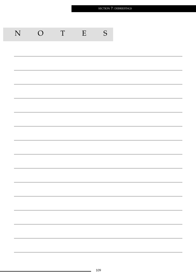SECTION 7: DEBRIEFINGS

| N | $\overline{O}$ | $\mathbf T$ | ${\bf E}$ | S |
|---|----------------|-------------|-----------|---|
|   |                |             |           |   |
|   |                |             |           |   |
|   |                |             |           |   |
|   |                |             |           |   |
|   |                |             |           |   |
|   |                |             |           |   |
|   |                |             |           |   |
|   |                |             |           |   |
|   |                |             |           |   |
|   |                |             |           |   |
|   |                |             |           |   |
|   |                |             |           |   |
|   |                |             |           |   |
|   |                |             |           |   |
|   |                |             |           |   |
|   |                |             |           |   |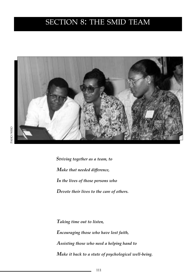# SECTION 8: THE SMID TEAM



*Striving together as a team, to Make that needed difference, In the lives of those persons who Devote their lives to the care of others.*

*Taking time out to listen, Encouraging those who have lost faith, Assisting those who need a helping hand to Make it back to a state of psychological well-being.*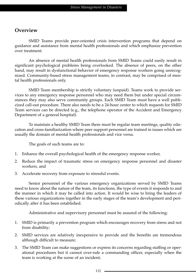### **Overview**

SMID Teams provide peer-oriented crisis intervention programs that depend on guidance and assistance from mental health professionals and which emphasize prevention over treatment.

An absence of mental health professionals from SMID Teams could easily result in significant psychological problems being overlooked. The absence of peers, on the other hand, may result in dysfunctional behavior of emergency response workers going unrecognized. Community-based stress management teams, in contrast, may be comprised of mental health professionals only.

SMID Team membership is strictly voluntary (unpaid). Teams work to provide services to any emergency response personnel who may need them but under special circumstances they may also serve community groups. Each SMID Team must have a well publicized call-out procedure. There also needs to be a 24-hour center to which requests for SMID Team services can be directed (e.g., the telephone operator of the Accident and Emergency Department of a general hospital).

To maintain a healthy SMID Team there must be regular team meetings, quality education and cross-familiarization where peer support personnel are trained in issues which are usually the domain of mental health professionals and vice versa.

The goals of such teams are to:

- 1. Enhance the overall psychological health of the emergency response worker,
- 2. Reduce the impact of traumatic stress on emergency response personnel and disaster workers, and
- 3. Accelerate recovery from exposure to stressful events.

Senior personnel of the various emergency organizations served by SMID Teams need to know about the nature of the team, its functions, the type of events it responds to and the manner in which it may be called into action. It would be wise to bring the leaders of these various organizations together in the early stages of the team's development and periodically after it has been established.

Administrative and supervisory personnel must be assured of the following:

- 1. SMID is primarily a prevention program which encourages recovery from stress and not from disability;
- 2. SMID services are relatively inexpensive to provide and the benefits are tremendous although difficult to measure;
- 3. The SMID Team can make suggestions or express its concerns regarding staffing or operational procedures but it cannot over-rule a commanding officer, especially when the team is working at the scene of an incident;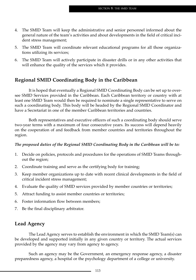- 4. The SMID Team will keep the administrative and senior personnel informed about the general nature of the team's activities and about developments in the field of critical incident stress management;
- 5. The SMID Team will coordinate relevant educational programs for all those organizations utilizing its services;
- 6. The SMID Team will actively participate in disaster drills or in any other activities that will enhance the quality of the services which it provides.

### **Regional SMID Coordinating Body in the Caribbean**

It is hoped that eventually a Regional SMID Coordinating Body can be set up to oversee SMID Services provided in the Caribbean. Each Caribbean territory or country with at least one SMID Team would then be required to nominate a single representative to serve on such a coordinating body. This body will be headed by the Regional SMID Coordinator and have a Secretariat in one of the member Caribbean territories and countries.

Both representatives and executive officers of such a coordinating body should serve two-year terms with a maximum of four consecutive years. Its success will depend heavily on the cooperation of and feedback from member countries and territories throughout the region.

#### *The proposed duties of the Regional SMID Coordinating Body in the Caribbean will be to:*

- 1. Decide on policies, protocols and procedures for the operations of SMID Teams throughout the region;
- 2. Coordinate training and serve as the certifying body for training;
- 3. Keep member organizations up to date with recent clinical developments in the field of critical incident stress management;
- 4. Evaluate the quality of SMID services provided by member countries or territories;
- 5. Attract funding to assist member countries or territories;
- 6. Foster information flow between members;
- 7. Be the final disciplinary arbitrator.

### **Lead Agency**

The Lead Agency serves to establish the environment in which the SMID Team(s) can be developed and supported initially in any given country or territory. The actual services provided by the agency may vary from agency to agency.

Such an agency may be the Government, an emergency response agency, a disaster preparedness agency, a hospital or the psychology department of a college or university.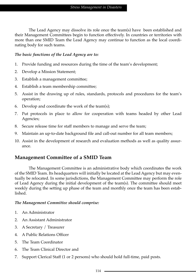The Lead Agency may dissolve its role once the team(s) have been established and their Management Committees begin to function effectively. In countries or territories with more than one SMID Team the Lead Agency may continue to function as the local coordinating body for such teams.

#### *The basic functions of the Lead Agency are to:*

- 1. Provide funding and resources during the time of the team's development;
- 2. Develop a Mission Statement;
- 3. Establish a management committee;
- 4. Establish a team membership committee;
- 5. Assist in the drawing up of rules, standards, protocols and procedures for the team's operation;
- 6. Develop and coordinate the work of the team(s);
- 7. Put protocols in place to allow for cooperation with teams headed by other Lead Agencies;
- 8. Secure release time for staff members to manage and serve the team;
- 9. Maintain an up-to-date background file and call-out number for all team members;
- 10. Assist in the development of research and evaluation methods as well as quality assurance.

### **Management Committee of a SMID Team**

The Management Committee is an administrative body which coordinates the work of the SMID Team. Its headquarters will initially be located at the Lead Agency but may eventually be relocated. In some jurisdictions, the Management Committee may perform the role of Lead Agency during the initial development of the team(s). The committee should meet weekly during the setting up phase of the team and monthly once the team has been established.

#### *The Management Committee should comprise:*

- 1. An Administrator
- 2. An Assistant Administrator
- 3. A Secretary / Treasurer
- 4. A Public Relations Officer
- 5. The Team Coordinator
- 6. The Team Clinical Director and
- 7. Support Clerical Staff (1 or 2 persons) who should hold full-time, paid posts.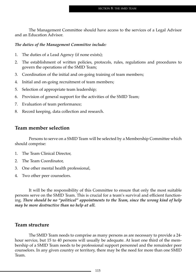The Management Committee should have access to the services of a Legal Advisor and an Education Advisor.

#### *The duties of the Management Committee include:*

- 1. The duties of a Lead Agency (if none exists);
- 2. The establishment of written policies, protocols, rules, regulations and procedures to govern the operations of the SMID Team;
- 3. Coordination of the initial and on-going training of team members;
- 4. Initial and on-going recruitment of team members;
- 5. Selection of appropriate team leadership;
- 6. Provision of general support for the activities of the SMID Team;
- 7. Evaluation of team performance;
- 8. Record keeping, data collection and research.

### **Team member selection**

Persons to serve on a SMID Team will be selected by a Membership Committee which should comprise:

- 1. The Team Clinical Director,
- 2. The Team Coordinator,
- 3. One other mental health professional,
- 4. Two other peer counselors.

It will be the responsibility of this Committee to ensure that only the most suitable persons serve on the SMID Team. This is crucial for a team's survival and efficient functioning. *There should be no "political" appointments to the Team, since the wrong kind of help may be more destructive than no help at all.*

#### **Team structure**

The SMID Team needs to comprise as many persons as are necessary to provide a 24 hour service, but 15 to 40 persons will usually be adequate. At least one third of the membership of a SMID Team needs to be professional support personnel and the remainder peer counselors. In any given country or territory, there may be the need for more than one SMID Team.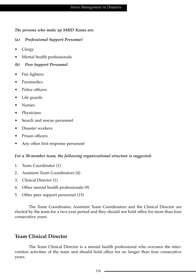*The persons who make up SMID Teams are:*

- *(a) Professional Support Personnel*
- Clergy
- Mental health professionals
- *(b) Peer Support Personnel*
- Fire fighters
- Paramedics
- Police officers
- Life guards
- Nurses
- Physicians
- Search and rescue personnel
- Disaster workers
- Prison officers
- Any other first response personnel

#### *For a 30-member team, the following organizational structure is suggested:*

- 1. Team Coordinator (1)
- 2. Assistant Team Coordinators (4)
- 3. Clinical Director (1)
- 4. Other mental health professionals (9)
- 5. Other peer support personnel (15)

The Team Coordinator, Assistant Team Coordinators and the Clinical Director are elected by the team for a two-year period and they should not hold office for more than four consecutive years.

### **Team Clinical Director**

The Team Clinical Director is a mental health professional who oversees the intervention activities of the team and should hold office for no longer than four consecutive years.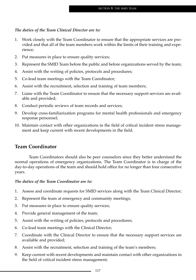#### *The duties of the Team Clinical Director are to:*

- 1. Work closely with the Team Coordinator to ensure that the appropriate services are provided and that all of the team members work within the limits of their training and experience;
- 2. Put measures in place to ensure quality services;
- 3. Represent the SMID Team before the public and before organizations served by the team;
- 4. Assist with the writing of policies, protocols and procedures;
- 5. Co-lead team meetings with the Team Coordinator;
- 6. Assist with the recruitment, selection and training of team members;
- 7. Liaise with the Team Coordinator to ensure that the necessary support services are available and provided;
- 8. Conduct periodic reviews of team records and services;
- 9. Develop cross-familiarization programs for mental health professionals and emergency response personnel;
- 10. Maintain contact with other organizations in the field of critical incident stress management and keep current with recent developments in the field.

#### **Team Coordinator**

Team Coordinators should also be peer counselors since they better understand the normal operations of emergency organizations. The Team Coordinator is in charge of the day-to-day operations of the team and should hold office for no longer than four consecutive years.

#### *The duties of the Team Coordinator are to:*

- 1. Assess and coordinate requests for SMID services along with the Team Clinical Director;
- 2. Represent the team at emergency and community meetings;
- 3. Put measures in place to ensure quality services;
- 4. Provide general management of the team;
- 5. Assist with the writing of policies, protocols and procedures;
- 6. Co-lead team meetings with the Clinical Director;
- 7. Coordinate with the Clinical Director to ensure that the necessary support services are available and provided;
- 8. Assist with the recruitment, selection and training of the team's members;
- 9. Keep current with recent developments and maintain contact with other organizations in the field of critical incident stress management;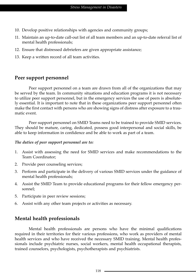- 10. Develop positive relationships with agencies and community groups;
- 11. Maintain an up-to-date call-out list of all team members and an up-to-date referral list of mental health professionals;
- 12. Ensure that distressed debriefers are given appropriate assistance;
- 13. Keep a written record of all team activities.

### **Peer support personnel**

Peer support personnel on a team are drawn from all of the organizations that may be served by the team. In community situations and education programs it is not necessary to utilize peer support personnel, but in the emergency services the use of peers is absolutely essential. It is important to note that in these organizations peer support personnel often make the first contact with persons who are showing signs of distress after exposure to a traumatic event.

Peer support personnel on SMID Teams need to be trained to provide SMID services. They should be mature, caring, dedicated, possess good interpersonal and social skills, be able to keep information in confidence and be able to work as part of a team.

#### *The duties of peer support personnel are to:*

- 1. Assist with assessing the need for SMID services and make recommendations to the Team Coordinator;
- 2. Provide peer counseling services;
- 3. Perform and participate in the delivery of various SMID services under the guidance of mental health professionals;
- 4. Assist the SMID Team to provide educational programs for their fellow emergency personnel;
- 5. Participate in peer review sessions;
- 6. Assist with any other team projects or activities as necessary.

### **Mental health professionals**

Mental health professionals are persons who have the minimal qualifications required in their territories for their various professions, who work as providers of mental health services and who have received the necessary SMID training. Mental health professionals include psychiatric nurses, social workers, mental health occupational therapists, trained counselors, psychologists, psychotherapists and psychiatrists.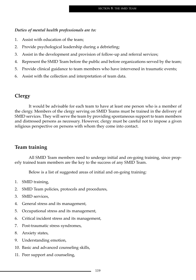#### *Duties of mental health professionals are to:*

- 1. Assist with education of the team;
- 2. Provide psychological leadership during a debriefing;
- 3. Assist in the development and provision of follow-up and referral services;
- 4. Represent the SMID Team before the public and before organizations served by the team;
- 5. Provide clinical guidance to team members who have intervened in traumatic events;
- 6. Assist with the collection and interpretation of team data.

#### **Clergy**

It would be advisable for each team to have at least one person who is a member of the clergy. Members of the clergy serving on SMID Teams must be trained in the delivery of SMID services. They will serve the team by providing spontaneous support to team members and distressed persons as necessary. However, clergy must be careful not to impose a given religious perspective on persons with whom they come into contact.

#### **Team training**

All SMID Team members need to undergo initial and on-going training, since properly trained team members are the key to the success of any SMID Team.

Below is a list of suggested areas of initial and on-going training:

- 1. SMID training,
- 2. SMID Team policies, protocols and procedures,
- 3. SMID services,
- 4. General stress and its management,
- 5. Occupational stress and its management,
- 6. Critical incident stress and its management,
- 7. Post-traumatic stress syndromes,
- 8. Anxiety states,
- 9. Understanding emotion,
- 10. Basic and advanced counseling skills,
- 11. Peer support and counseling,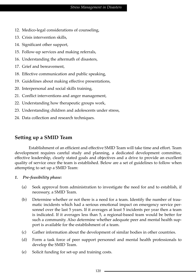- 12. Medico-legal considerations of counseling,
- 13. Crisis intervention skills,
- 14. Significant other support,
- 15. Follow-up services and making referrals,
- 16. Understanding the aftermath of disasters,
- 17. Grief and bereavement,
- 18. Effective communication and public speaking,
- 19. Guidelines about making effective presentations,
- 20. Interpersonal and social skills training,
- 21. Conflict interventions and anger management,
- 22. Understanding how therapeutic groups work,
- 23. Understanding children and adolescents under stress,
- 24. Data collection and research techniques.

### **Setting up a SMID Team**

Establishment of an efficient and effective SMID Team will take time and effort. Team development requires careful study and planning, a dedicated development committee, effective leadership, clearly stated goals and objectives and a drive to provide an excellent quality of service once the team is established. Below are a set of guidelines to follow when attempting to set up a SMID Team:

#### *1. Pre-feasibility phase:*

- (a) Seek approval from administration to investigate the need for and to establish, if necessary, a SMID Team.
- (b) Determine whether or not there is a need for a team. Identify the number of traumatic incidents which had a serious emotional impact on emergency service personnel over the last 5 years. If it averages at least 5 incidents per year then a team is indicated. If it averages less than 5, a regional-based team would be better for such a community. Also determine whether adequate peer and mental health support is available for the establishment of a team.
- (c) Gather information about the development of similar bodies in other countries.
- (d) Form a task force of peer support personnel and mental health professionals to develop the SMID Team.
- (e) Solicit funding for set-up and training costs.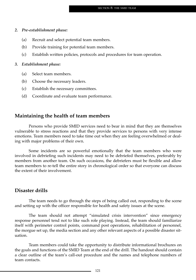#### *2. Pre-establishment phase:*

- (a) Recruit and select potential team members.
- (b) Provide training for potential team members.
- (c) Establish written policies, protocols and procedures for team operation.

#### *3. Establishment phase:*

- (a) Select team members.
- (b) Choose the necessary leaders.
- (c) Establish the necessary committees.
- (d) Coordinate and evaluate team performance.

#### **Maintaining the health of team members**

Persons who provide SMID services need to bear in mind that they are themselves vulnerable to stress reactions and that they provide services to persons with very intense emotions. Team members need to take time out when they are feeling overwhelmed or dealing with major problems of their own.

Some incidents are so powerful emotionally that the team members who were involved in debriefing such incidents may need to be debriefed themselves, preferably by members from another team. On such occasions, the debriefers must be flexible and allow team members to re-tell the entire story in chronological order so that everyone can discuss the extent of their involvement.

#### **Disaster drills**

The team needs to go through the steps of being called out, responding to the scene and setting up with the officer responsible for health and safety issues at the scene.

The team should not attempt "simulated crisis intervention" since emergency response personnel tend not to like such role playing. Instead, the team should familiarize itself with perimeter control points, command post operations, rehabilitation of personnel, the morgue set up, the media section and any other relevant aspects of a possible disaster situation.

Team members could take the opportunity to distribute informational brochures on the goals and functions of the SMID Team at the end of the drill. The handout should contain a clear outline of the team's call-out procedure and the names and telephone numbers of team contacts.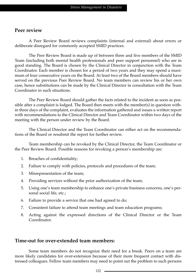### **Peer review**

A Peer Review Board reviews complaints (internal and external) about errors or deliberate disregard for commonly accepted SMID practices.

The Peer Review Board is made up of between three and five members of the SMID Team (including both mental health professionals and peer support personnel) who are in good standing. The Board is chosen by the Clinical Director in conjunction with the Team Coordinator. Each member is chosen for a period of two years and they may spend a maximum of four consecutive years on the Board. At least two of the Board members should have served on the previous Peer Review Board. No team members can review his or her own case, hence substitutions can be made by the Clinical Director in consultation with the Team Coordinator in such situations.

The Peer Review Board should gather the facts related to the incident as soon as possible after a complaint is lodged. The Board then meets with the member(s) in question within three days of the complaint, evaluates the information gathered and issues a written report with recommendations to the Clinical Director and Team Coordinator within two days of the meeting with the person under review by the Board.

The Clinical Director and the Team Coordinator can either act on the recommendations of the Board or resubmit the report for further review.

Team membership can be revoked by the Clinical Director, the Team Coordinator or the Peer Review Board. Possible reasons for revoking a person's membership are:

- 1. Breaches of confidentiality;
- 2. Failure to comply with policies, protocols and procedures of the team;
- 3. Misrepresentation of the team;
- 4. Providing services without the prior authorization of the team;
- 5. Using one's team membership to enhance one's private business concerns, one's personal social life, etc.;
- 6. Failure to provide a service that one had agreed to do;
- 7. Consistent failure to attend team meetings and team education programs;
- 8. Acting against the expressed directions of the Clinical Director or the Team Coordinator.

### **Time-out for over-extended team members:**

Some team members do not recognize their need for a break. Peers on a team are more likely candidates for over-extension because of their more frequent contact with distressed colleagues. Fellow team members may need to point out the problem to such persons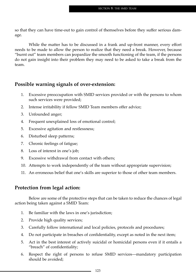so that they can have time-out to gain control of themselves before they suffer serious damage.

While the matter has to be discussed in a frank and up-front manner, every effort needs to be made to allow the person to realize that they need a break. However, because "burnt out" team members can jeopardize the smooth functioning of the team, if the persons do not gain insight into their problem they may need to be asked to take a break from the team.

### **Possible warning signals of over-extension:**

- 1. Excessive preoccupation with SMID services provided or with the persons to whom such services were provided;
- 2. Intense irritability if fellow SMID Team members offer advice;
- 3. Unfounded anger;
- 4. Frequent unexplained loss of emotional control;
- 5. Excessive agitation and restlessness;
- 6. Disturbed sleep patterns;
- 7. Chronic feelings of fatigue;
- 8. Loss of interest in one's job;
- 9. Excessive withdrawal from contact with others;
- 10. Attempts to work independently of the team without appropriate supervision;
- 11. An erroneous belief that one's skills are superior to those of other team members.

### **Protection from legal action:**

Below are some of the protective steps that can be taken to reduce the chances of legal action being taken against a SMID Team:

- 1. Be familiar with the laws in one's jurisdiction;
- 2. Provide high quality services;
- 3. Carefully follow international and local policies, protocols and procedures;
- 4. Do not participate in breaches of confidentiality, except as noted in the next item;
- 5. Act in the best interest of actively suicidal or homicidal persons even if it entails a "breach" of confidentiality;
- 6. Respect the right of persons to refuse SMID services—mandatory participation should be avoided;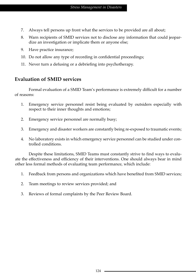- 7. Always tell persons up front what the services to be provided are all about;
- 8. Warn recipients of SMID services not to disclose any information that could jeopardize an investigation or implicate them or anyone else;
- 9. Have practice insurance;
- 10. Do not allow any type of recording in confidential proceedings;
- 11. Never turn a defusing or a debriefing into psychotherapy.

### **Evaluation of SMID services**

Formal evaluation of a SMID Team's performance is extremely difficult for a number of reasons:

- 1. Emergency service personnel resist being evaluated by outsiders especially with respect to their inner thoughts and emotions;
- 2. Emergency service personnel are normally busy;
- 3. Emergency and disaster workers are constantly being re-exposed to traumatic events;
- 4. No laboratory exists in which emergency service personnel can be studied under controlled conditions.

Despite these limitations, SMID Teams must constantly strive to find ways to evaluate the effectiveness and efficiency of their interventions. One should always bear in mind other less formal methods of evaluating team performance, which include:

- 1. Feedback from persons and organizations which have benefited from SMID services;
- 2. Team meetings to review services provided; and
- 3. Reviews of formal complaints by the Peer Review Board.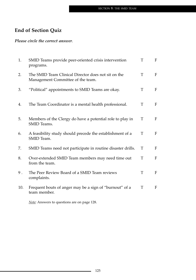## **End of Section Quiz**

*Please circle the correct answer*.

| 1.  | SMID Teams provide peer-oriented crisis intervention<br>programs.                        | T | F |
|-----|------------------------------------------------------------------------------------------|---|---|
| 2.  | The SMID Team Clinical Director does not sit on the<br>Management Committee of the team. | T | F |
| 3.  | "Political" appointments to SMID Teams are okay.                                         | T | F |
| 4.  | The Team Coordinator is a mental health professional.                                    | T | F |
| 5.  | Members of the Clergy do have a potential role to play in<br>SMID Teams.                 | T | F |
| 6.  | A feasibility study should precede the establishment of a<br>SMID Team.                  | T | F |
| 7.  | SMID Teams need not participate in routine disaster drills.                              | T | F |
| 8.  | Over-extended SMID Team members may need time out<br>from the team.                      | T | F |
| 9.  | The Peer Review Board of a SMID Team reviews<br>complaints.                              | T | F |
| 10. | Frequent bouts of anger may be a sign of "burnout" of a<br>team member.                  | T | F |

*Note:* Answers to questions are on page 128.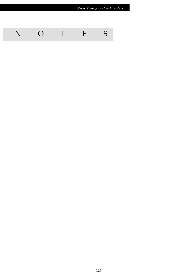| Stress Management in Disasters |                |             |   |               |  |  |  |  |
|--------------------------------|----------------|-------------|---|---------------|--|--|--|--|
|                                |                |             |   |               |  |  |  |  |
| N                              | $\overline{O}$ | $\mathbf T$ | E | ${\mathsf S}$ |  |  |  |  |
|                                |                |             |   |               |  |  |  |  |
|                                |                |             |   |               |  |  |  |  |
|                                |                |             |   |               |  |  |  |  |
|                                |                |             |   |               |  |  |  |  |
|                                |                |             |   |               |  |  |  |  |
|                                |                |             |   |               |  |  |  |  |
|                                |                |             |   |               |  |  |  |  |
|                                |                |             |   |               |  |  |  |  |
|                                |                |             |   |               |  |  |  |  |
|                                |                |             |   |               |  |  |  |  |
|                                |                |             |   |               |  |  |  |  |
|                                |                |             |   |               |  |  |  |  |
|                                |                |             |   |               |  |  |  |  |
|                                |                |             |   |               |  |  |  |  |
|                                |                |             |   |               |  |  |  |  |
|                                |                |             |   |               |  |  |  |  |
|                                |                |             |   |               |  |  |  |  |

 $\sim$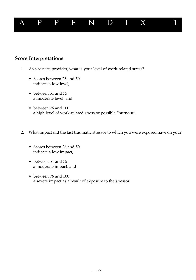

### **Score Interpretations**

- 1. As a service provider, what is your level of work-related stress?
	- Scores between 26 and 50 indicate a low level,
	- between 51 and 75 a moderate level, and
	- between 76 and 100 a high level of work-related stress or possible "burnout".
- 2. What impact did the last traumatic stressor to which you were exposed have on you?
	- Scores between 26 and 50 indicate a low impact,
	- between 51 and 75 a moderate impact, and
	- between 76 and 100 a severe impact as a result of exposure to the stressor.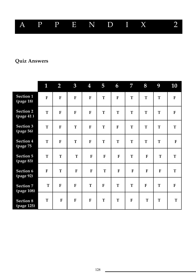

## **Quiz Answers**

|                                | 1           | $\overline{2}$          | $\overline{3}$ | 4            | 5           | 6           | $\overline{7}$ | 8            | 9           | 10          |
|--------------------------------|-------------|-------------------------|----------------|--------------|-------------|-------------|----------------|--------------|-------------|-------------|
| Section 1<br>(page 18)         | ${\bf F}$   | $\mathbf F$             | $\mathbf F$    | $\mathbf{F}$ | T           | $\mathbf F$ | T              | T            | T           | $\mathbf F$ |
| <b>Section 2</b><br>(page 41)  | $\mathbf T$ | $\mathbf F$             | $\mathbf{F}$   | $\mathbf{F}$ | $\mathbf T$ | T           | T              | T            | T           | $\mathbf F$ |
| Section 3<br>(page 56)         | T           | $\overline{\mathbf{F}}$ | T              | $\mathbf{F}$ | $\mathbf T$ | $\mathbf F$ | T              | T            | T           | $\mathbf T$ |
| Section 4<br>(page 75)         | $\mathbf T$ | $\mathbf F$             | T              | $\mathbf{F}$ | T           | T           | T              | $\mathbf T$  | T           | $\mathbf F$ |
| Section 5<br>(page 83)         | T           | T                       | T              | $\mathbf F$  | ${\bf F}$   | ${\bf F}$   | T              | $\mathbf{F}$ | T           | T           |
| Section 6<br>(page 92)         | $\mathbf F$ | T                       | $\mathbf F$    | $\mathbf F$  | T           | $\mathbf F$ | $\mathbf{F}$   | ${\bf F}$    | $\mathbf F$ | $\mathbf T$ |
| <b>Section 7</b><br>(page 108) | $\mathbf T$ | $\mathbf F$             | $\mathbf F$    | T            | ${\bf F}$   | T           | T              | $\mathbf F$  | $\mathbf T$ | $\mathbf F$ |
| <b>Section 8</b><br>(page 125) | T           | $\mathbf{F}$            | $\mathbf F$    | $\mathbf{F}$ | T           | T           | $\mathbf{F}$   | T            | $\mathbf T$ | T           |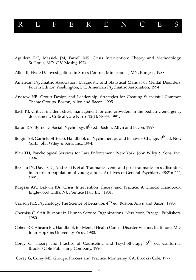# REFERENCES

- Aguilera DC, Messick JM, Farrell MS. Crisis Intervention: Theory and Methodology. St. Louis, MO, C.V. Mosby, 1974.
- Allen R, Hyde D. Investigations in Stress Control. Minneapolis, MN, Burgess, 1988.
- American Psychiatric Association. Diagnostic and Statistical Manual of Mental Disorders, Fourth Edition.Washington, DC, American Psychiatric Association, 1994.
- Andrew HB. Group Design and Leadership: Strategies for Creating Successful Common Theme Groups. Boston, Allyn and Bacon, 1995.
- Back KJ. Critical incident stress management for care providers in the pediatric emergency department. Critical Care Nurse 12(1): 78-83, 1991.
- Baron RA, Byrne D. Social Psychology, 8<sup>th</sup> ed. Boston, Allyn and Bacon, 1997.
- Bergin AE, Garfield SL (eds). Handbook of Psychotherapy and Behavior Change, 4<sup>th</sup> ed. New York, John Wiley & Sons, Inc., 1994.
- Blau TH, Psychological Services for Law Enforcement. New York, John Wiley & Sons, Inc., 1994.
- Breslau IN, Davis GC, Andreski P, et al. Traumatic events and post-traumatic stress disorders in an urban population of young adults. Archives of General Psychiatry 48:216-222, 1991.
- Burgess AW, Balwin BA. Crisis Intervention Theory and Practice: A Clinical Handbook. Englewood Cliffs, NJ, Prentice Hall, Inc., 1981.
- Carlson NR. Psychology: The Science of Behavior, 4<sup>th</sup> ed. Boston, Allyn and Bacon, 1993.
- Cherniss C. Staff Burnout in Human Service Organizations. New York, Praeger Publishers, 1980.
- Cohen RE, Ahearn FL. Handbook for Mental Health Care of Disaster Victims. Baltimore, MD, John Hopkins University Press, 1980.
- Corey G. Theory and Practice of Counseling and Psychotherapy, 5<sup>th</sup> ed. California, Brooks/Cole Publishing Company, 1996.
- Corey G, Corey MS. Groups: Process and Practice, Monterrey, CA, Brooks/Cole, 1977.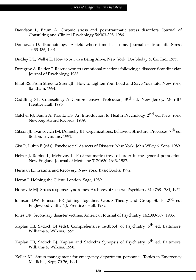- Davidson L, Baum A. Chronic stress and post-traumatic stress disorders. Journal of Consulting and Clinical Psychology 54:303-308, 1986.
- Donnovan D. Traumatology: A field whose time has come. Journal of Traumatic Stress 4:433-436, 1991.
- Dudley DL, Welke E. How to Survive Being Alive, New York, Doubleday & Co. Inc., 1977.
- Dyregrov A, Reider T. Rescue workers emotional reactions following a disaster. Scandinavian Journal of Psychology, 1988.
- Elliot RS. From Stress to Strength: How to Lighten Your Load and Save Your Life. New York, Bantham, 1994.
- Gaddling ST. Counseling: A Comprehensive Profession, 3<sup>rd</sup> ed. New Jersey, Merrill/ Prentice Hall, 1996.
- Gatchel RJ, Baum A, Krantz DS. An Introduction to Health Psychology, 2<sup>nd</sup> ed. New York, Newberg Award Records, 1989.
- Gibson JL, Ivancevich JM, Donnelly JH. Organizations: Behavior, Structure, Processes, 7<sup>th</sup> ed. Boston, Irwin, Inc. 1991.
- Gist R, Lubin B (eds). Psychosocial Aspects of Disaster. New York, John Wiley & Sons, 1989.
- Helzer J, Robins L, McEnvoy L. Post-traumatic stress disorder in the general population. New England Journal of Medicine 317:1630-1643, 1987.
- Herman JL. Trauma and Recovery. New York, Basic Books, 1992.
- Heron J. Helping the Client. London, Sage, 1989.
- Horowitz MJ. Stress response syndromes. Archives of General Psychiatry 31 : 768 781, 1974.
- Johnson DW, Johnson FP. Joining Together: Group Theory and Group Skills, 2<sup>nd</sup> ed. Englewood Cliffs, NJ, Prentice - Hall, 1982.
- Jones DR. Secondary disaster victims. American Journal of Psychiatry, 142:303-307, 1985.
- Kaplan HI, Sadock BJ (eds). Comprehensive Textbook of Psychiatry,  $6<sup>th</sup>$  ed. Baltimore, Williams & Wilkins, 1995.
- Kaplan HI, Sadock BJ. Kaplan and Sadock's Synopsis of Psychiatry, 8<sup>th</sup> ed. Baltimore, Williams & Wilkins, 1998.
- Keller KL. Stress management for emergency department personnel. Topics in Emergency Medicine, Sept, 70-76, 1991.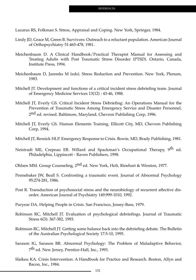Lazarus RS, Folkman S. Stress, Appraisal and Coping. New York, Springer, 1984.

- Lindy JD, Grace M, Green B. Survivors: Outreach to a reluctant population. American Journal of Orthopsychiatry 51:465-478, 1981.
- Meichenbaum D. A Clinical Handbook/Practical Therapist Manual for Assessing and Treating Adults with Post Traumatic Stress Disorder (PTSD). Ontario, Canada, Institute Press, 1994.
- Meichenbaum D, Jaremks M (eds). Stress Reduction and Prevention. New York, Plenum, 1983.
- Mitchell JT. Development and functions of a critical incident stress debriefing team. Journal of Emergency Medicine Services 13(12) : 43-46, 1988.
- Mitchell JT, Everly GS. Critical Incident Stress Debriefing: An Operations Manual for the Prevention of Traumatic Stress Among Emergency Service and Disaster Personnel, 2<sup>nd</sup> ed. revised. Baltimore, Maryland, Chevron Publishing Corp, 1996.
- Mitchell JT, Everly GS. Human Elements Training. Ellicott City, MD, Chevron Publishing Corp, 1994.
- Mitchell JT, Resnick HLP. Emergency Response to Crisis. Bowie, MD, Brady Publishing, 1981.
- Neistradt ME, Crepeau EB. Willard and Spackman's Occupational Therapy, 9<sup>th</sup> ed. Philadelphia, Lippincott - Raven Publishers, 1998.
- Ohlsen MM. Group Counseling, 2nd ed. New York, Holt, Rinehart & Winston, 1977.
- Pennebaker JW, Beall S. Confronting a traumatic event. Journal of Abnormal Psychology 95:274-281, 1986.
- Post R. Transduction of psychosocial stress and the neurobiology of recurrent affective disorder. American Journal of Psychiatry 149:999-1010, 1992.
- Puryear DA. Helping People in Crisis. San Francisco, Jossey-Bass, 1979.
- Robinson RC, Mitchell JT. Evaluation of psychological debriefings. Journal of Traumatic Stress 6(3): 367-382, 1993.
- Robinson RC, Mitchell JT. Getting some balance back into the debriefing debate. The Bulletin of the Australian Psychological Society 17:5-10, 1995.
- Sarason IG, Sarason BR. Abnormal Psychology: The Problem of Maladaptive Behavior, 7th ed. New Jersey, Prentice-Hall, Inc., 1993.
- Slaikeu KA. Crisis Intervention: A Handbook for Practice and Research. Boston, Allyn and Bacon, Inc., 1984.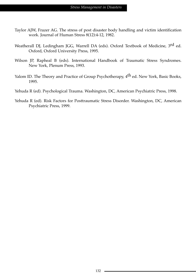- Taylor AJW, Frazer AG. The stress of post disaster body handling and victim identification work. Journal of Human Stress 8(12):4-12, 1982.
- Weatherall DJ, Ledingham JGG, Warrell DA (eds). Oxford Textbook of Medicine, 3<sup>rd</sup> ed. Oxford, Oxford University Press, 1995.
- Wilson JP, Rapheal B (eds). International Handbook of Traumatic Stress Syndromes. New York, Plenum Press, 1993.
- Yalom ID. The Theory and Practice of Group Psychotherapy, 4<sup>th</sup> ed. New York, Basic Books, 1995.
- Yehuda R (ed). Psychological Trauma. Washington, DC, American Psychiatric Press, 1998.
- Yehuda R (ed). Risk Factors for Posttraumatic Stress Disorder. Washington, DC, American Psychiatric Press, 1999.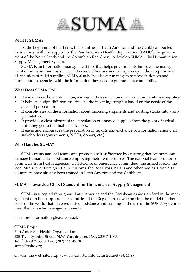

#### **What Is SUMA?**

At the beginning of the 1990s, the countries of Latin America and the Caribbean pooled their efforts, with the support of the Pan American Health Organization (PAHO), the government of the Netherlands and the Colombian Red Cross, to develop SUMA—the Humanitarian Supply Management System.

SUMA is an information management tool that helps governments improve the management of humanitarian assistance and ensure efficiency and transparency in the reception and distribution of relief supplies. SUMA also helps disaster managers to provide donors and humanitarian agencies with the information they need to guarantee accountability.

#### **What Does SUMA Do?**

- It streamlines the identification, sorting and classification of arriving humanitarian supplies.
- It helps to assign different priorities to the incoming supplies based on the needs of the affected population.
- It consolidates all the information about incoming shipments and existing stocks into a single database.
- It provides a clear picture of the circulation of donated supplies from the point of arrival until they get to the final beneficiaries.
- It eases and encourages the preparation of reports and exchange of information among all stakeholders (governments, NGOs, donors, etc.).

#### **Who Handles SUMA?**

SUMA trains national teams and promotes self-sufficiency by ensuring that countries can manage humanitarian assistance employing their own resources. The national teams comprise volunteers from health agencies, civil defense or emergency committees, the armed forces, the local Ministry of Foreign Affairs, customs, the Red Cross, NGOs and other bodies. Over 2,000 volunteers have already been trained in Latin America and the Caribbean.

#### **SUMA—Towards a Global Standard for Humanitarian Supply Management**

SUMA is accepted throughout Latin America and the Caribbean as *the* standard in the management of relief supplies. The countries of the Region are now exporting the model to other parts of the world that have requested assistance and training in the use of the SUMA System to meet their disaster management needs.

For more information please contact:

SUMA Project Pan American Health Organization 525 Twenty-third Street, N.W. Washington, D.C. 20037, USA Tel. (202) 974 3520; Fax: (202) 775 45 78 suma@paho.org

Or visit the web site: http://www.disaster.info.desastres.net/SUMA/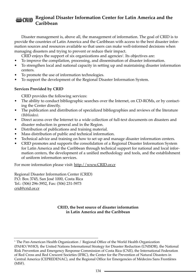#### **Regional Disaster Information Center for Latin America and the** ecrip. **Caribbean**

Disaster management is, above all, the management of information. The goal of CRID is to provide the countries of Latin America and the Caribbean with access to the best disaster information sources and resources available so that users can make well-informed decisions when managing disasters and trying to prevent or reduce their impact.

CRID enjoys the support of six organizations and agencies<sup>1</sup>. Its objectives are:

- To improve the compilation, processing, and dissemination of disaster information.
- To strengthen local and national capacity in setting up and maintaining disaster information centers.
- To promote the use of information technologies.
- To support the development of the Regional Disaster Information System.

#### **Services Provided by CRID**

CRID provides the following services:

- The ability to conduct bibliographic searches over the Internet, on CD-ROMs, or by contacting the Center directly.
- The publication and distribution of specialized bibliographies and reviews of the literature *(Bibliodes).*
- Direct access over the Internet to a wide collection of full-text documents on disasters and disaster reduction in general and in the Region.
- Distribution of publications and training material.
- Mass distribution of public and technical information.
- Technical advice and training on how to set up and manage disaster information centers.
- CRID promotes and supports the consolidation of a Regional Disaster Information System for Latin America and the Caribbean through technical support for national and local information centers, the development of a unified methodology and tools, and the establishment of uniform information services.

For more information please visit: http://www.CRID.or.cr

Regional Disaster Information Center (CRID) P.O. Box 3745, San José 1000, Costa Rica Tel.: (506) 296-3952, Fax: (506) 231-5973 crid@crid.or.cr

#### **CRID, the best source of disaster information in Latin America and the Caribbean**

<sup>&</sup>lt;sup>1</sup> The Pan-American Health Organization / Regional Office of the World Health Organization (PAHO/WHO), the United Nations International Strategy for Disaster Reduction (UNISDR), the National Risk Prevention and Emergency Response Commission of Costa Rica (CNE), the International Federation of Red Cross and Red Crescent Societies (IFRC), the Center for the Prevention of Natural Disasters in Central America (CEPREDENAC), and the Regional Office for Emergencies of Médecins Sans Frontières (MSF).